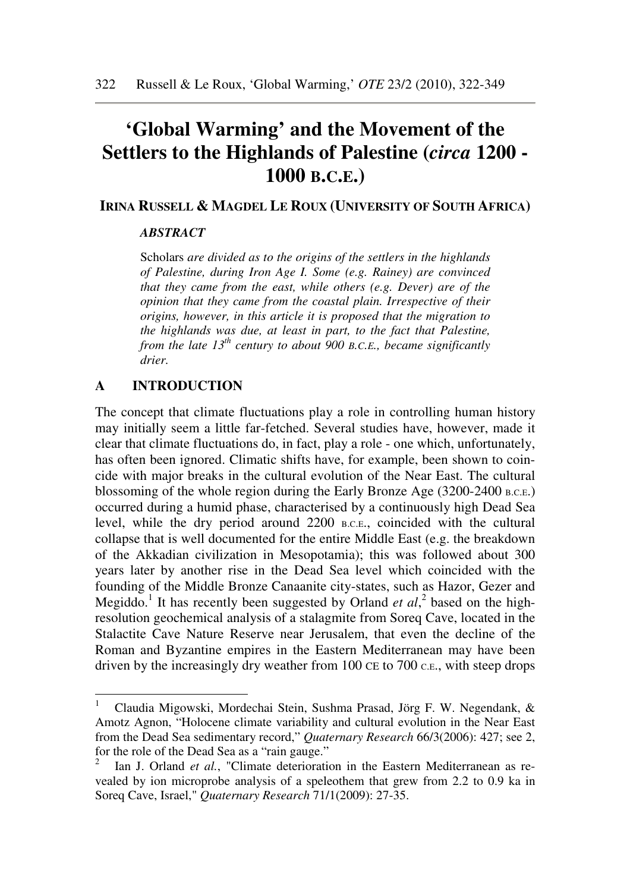# **'Global Warming' and the Movement of the Settlers to the Highlands of Palestine (***circa* **1200 - 1000 B.C.E.)**

## **IRINA RUSSELL & MAGDEL LE ROUX (UNIVERSITY OF SOUTH AFRICA)**

#### *ABSTRACT*

Scholars *are divided as to the origins of the settlers in the highlands of Palestine, during Iron Age I. Some (e.g. Rainey) are convinced that they came from the east, while others (e.g. Dever) are of the opinion that they came from the coastal plain. Irrespective of their origins, however, in this article it is proposed that the migration to the highlands was due, at least in part, to the fact that Palestine, from the late 13th century to about 900 B.C.E., became significantly drier.*

#### **A INTRODUCTION**

The concept that climate fluctuations play a role in controlling human history may initially seem a little far-fetched. Several studies have, however, made it clear that climate fluctuations do, in fact, play a role - one which, unfortunately, has often been ignored. Climatic shifts have, for example, been shown to coincide with major breaks in the cultural evolution of the Near East. The cultural blossoming of the whole region during the Early Bronze Age (3200-2400 B.C.E.) occurred during a humid phase, characterised by a continuously high Dead Sea level, while the dry period around 2200 B.C.E., coincided with the cultural collapse that is well documented for the entire Middle East (e.g. the breakdown of the Akkadian civilization in Mesopotamia); this was followed about 300 years later by another rise in the Dead Sea level which coincided with the founding of the Middle Bronze Canaanite city-states, such as Hazor, Gezer and Megiddo.<sup>1</sup> It has recently been suggested by Orland *et al*,<sup>2</sup> based on the highresolution geochemical analysis of a stalagmite from Soreq Cave, located in the Stalactite Cave Nature Reserve near Jerusalem, that even the decline of the Roman and Byzantine empires in the Eastern Mediterranean may have been driven by the increasingly dry weather from 100 CE to 700 C.E., with steep drops

 1 Claudia Migowski, Mordechai Stein, Sushma Prasad, Jörg F. W. Negendank, & Amotz Agnon, "Holocene climate variability and cultural evolution in the Near East from the Dead Sea sedimentary record," *Quaternary Research* 66/3(2006): 427; see 2, for the role of the Dead Sea as a "rain gauge."

<sup>2</sup> Ian J. Orland *et al.*, "Climate deterioration in the Eastern Mediterranean as revealed by ion microprobe analysis of a speleothem that grew from 2.2 to 0.9 ka in Soreq Cave, Israel," *Quaternary Research* 71/1(2009): 27-35.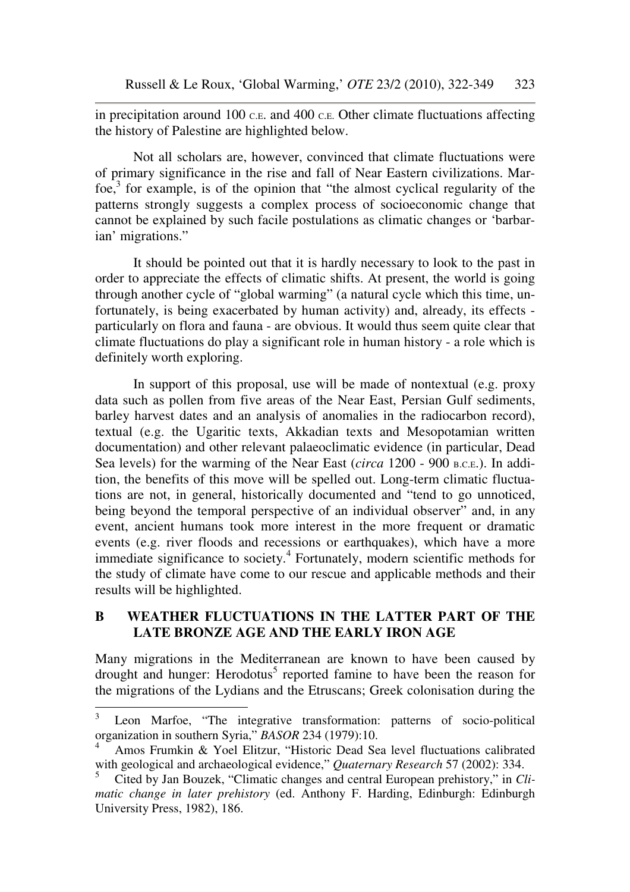in precipitation around 100 C.E. and 400 C.E. Other climate fluctuations affecting the history of Palestine are highlighted below.

Not all scholars are, however, convinced that climate fluctuations were of primary significance in the rise and fall of Near Eastern civilizations. Marfoe, $3$  for example, is of the opinion that "the almost cyclical regularity of the patterns strongly suggests a complex process of socioeconomic change that cannot be explained by such facile postulations as climatic changes or 'barbarian' migrations."

It should be pointed out that it is hardly necessary to look to the past in order to appreciate the effects of climatic shifts. At present, the world is going through another cycle of "global warming" (a natural cycle which this time, unfortunately, is being exacerbated by human activity) and, already, its effects particularly on flora and fauna - are obvious. It would thus seem quite clear that climate fluctuations do play a significant role in human history - a role which is definitely worth exploring.

In support of this proposal, use will be made of nontextual (e.g. proxy data such as pollen from five areas of the Near East, Persian Gulf sediments, barley harvest dates and an analysis of anomalies in the radiocarbon record), textual (e.g. the Ugaritic texts, Akkadian texts and Mesopotamian written documentation) and other relevant palaeoclimatic evidence (in particular, Dead Sea levels) for the warming of the Near East (*circa* 1200 - 900 B.C.E.). In addition, the benefits of this move will be spelled out. Long-term climatic fluctuations are not, in general, historically documented and "tend to go unnoticed, being beyond the temporal perspective of an individual observer" and, in any event, ancient humans took more interest in the more frequent or dramatic events (e.g. river floods and recessions or earthquakes), which have a more immediate significance to society.<sup>4</sup> Fortunately, modern scientific methods for the study of climate have come to our rescue and applicable methods and their results will be highlighted.

## **B WEATHER FLUCTUATIONS IN THE LATTER PART OF THE LATE BRONZE AGE AND THE EARLY IRON AGE**

Many migrations in the Mediterranean are known to have been caused by drought and hunger: Herodotus<sup>5</sup> reported famine to have been the reason for the migrations of the Lydians and the Etruscans; Greek colonisation during the

 3 Leon Marfoe, "The integrative transformation: patterns of socio-political organization in southern Syria," *BASOR* 234 (1979):10.

<sup>4</sup> Amos Frumkin & Yoel Elitzur, "Historic Dead Sea level fluctuations calibrated with geological and archaeological evidence," *Quaternary Research* 57 (2002): 334.

<sup>5</sup> Cited by Jan Bouzek, "Climatic changes and central European prehistory," in *Climatic change in later prehistory* (ed. Anthony F. Harding, Edinburgh: Edinburgh University Press, 1982), 186.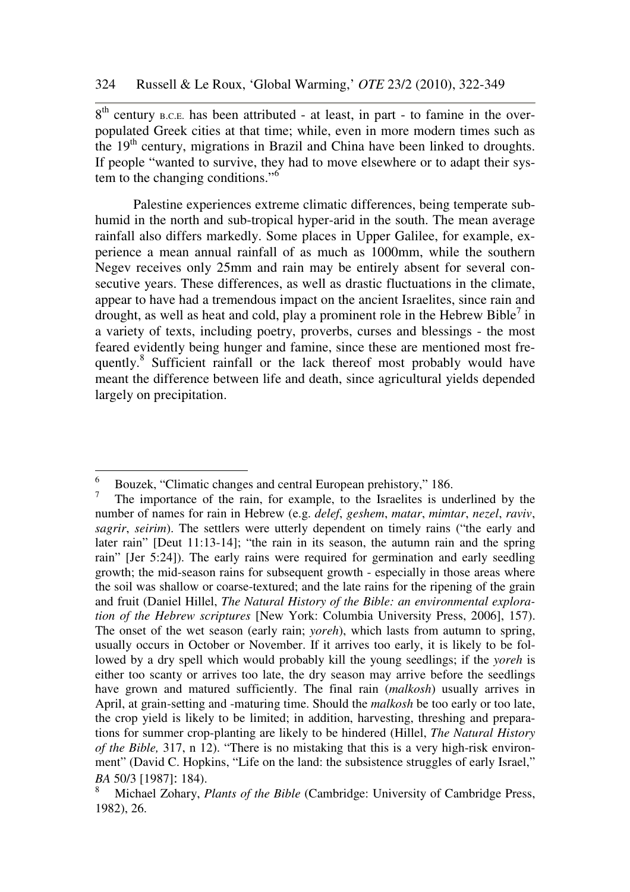8<sup>th</sup> century B.C.E. has been attributed - at least, in part - to famine in the overpopulated Greek cities at that time; while, even in more modern times such as the  $19<sup>th</sup>$  century, migrations in Brazil and China have been linked to droughts. If people "wanted to survive, they had to move elsewhere or to adapt their system to the changing conditions."<sup>6</sup>

Palestine experiences extreme climatic differences, being temperate subhumid in the north and sub-tropical hyper-arid in the south. The mean average rainfall also differs markedly. Some places in Upper Galilee, for example, experience a mean annual rainfall of as much as 1000mm, while the southern Negev receives only 25mm and rain may be entirely absent for several consecutive years. These differences, as well as drastic fluctuations in the climate, appear to have had a tremendous impact on the ancient Israelites, since rain and drought, as well as heat and cold, play a prominent role in the Hebrew Bible<sup>7</sup> in a variety of texts, including poetry, proverbs, curses and blessings - the most feared evidently being hunger and famine, since these are mentioned most frequently.<sup>8</sup> Sufficient rainfall or the lack thereof most probably would have meant the difference between life and death, since agricultural yields depended largely on precipitation.

 6 Bouzek, "Climatic changes and central European prehistory," 186.

<sup>7</sup> The importance of the rain, for example, to the Israelites is underlined by the number of names for rain in Hebrew (e.g. *delef*, *geshem*, *matar*, *mimtar*, *nezel*, *raviv*, *sagrir*, *seirim*). The settlers were utterly dependent on timely rains ("the early and later rain" [Deut 11:13-14]; "the rain in its season, the autumn rain and the spring rain" [Jer 5:24]). The early rains were required for germination and early seedling growth; the mid-season rains for subsequent growth - especially in those areas where the soil was shallow or coarse-textured; and the late rains for the ripening of the grain and fruit (Daniel Hillel, *The Natural History of the Bible: an environmental exploration of the Hebrew scriptures* [New York: Columbia University Press, 2006], 157). The onset of the wet season (early rain; *yoreh*), which lasts from autumn to spring, usually occurs in October or November. If it arrives too early, it is likely to be followed by a dry spell which would probably kill the young seedlings; if the *yoreh* is either too scanty or arrives too late, the dry season may arrive before the seedlings have grown and matured sufficiently. The final rain (*malkosh*) usually arrives in April, at grain-setting and -maturing time. Should the *malkosh* be too early or too late, the crop yield is likely to be limited; in addition, harvesting, threshing and preparations for summer crop-planting are likely to be hindered (Hillel, *The Natural History of the Bible,* 317, n 12). "There is no mistaking that this is a very high-risk environment" (David C. Hopkins, "Life on the land: the subsistence struggles of early Israel," *BA* 50/3 [1987]: 184).

<sup>8</sup> Michael Zohary, *Plants of the Bible* (Cambridge: University of Cambridge Press, 1982), 26.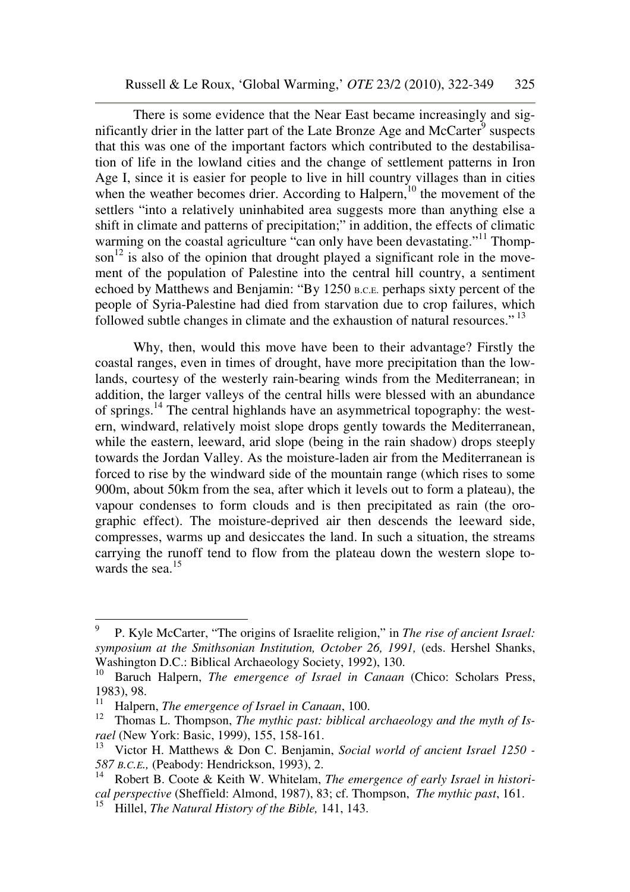There is some evidence that the Near East became increasingly and significantly drier in the latter part of the Late Bronze Age and McCarter<sup>9</sup> suspects that this was one of the important factors which contributed to the destabilisation of life in the lowland cities and the change of settlement patterns in Iron Age I, since it is easier for people to live in hill country villages than in cities when the weather becomes drier. According to Halpern,<sup>10</sup> the movement of the settlers "into a relatively uninhabited area suggests more than anything else a shift in climate and patterns of precipitation;" in addition, the effects of climatic warming on the coastal agriculture "can only have been devastating."<sup>11</sup> Thompson<sup>12</sup> is also of the opinion that drought played a significant role in the movement of the population of Palestine into the central hill country, a sentiment echoed by Matthews and Benjamin: "By 1250 B.C.E. perhaps sixty percent of the people of Syria-Palestine had died from starvation due to crop failures, which followed subtle changes in climate and the exhaustion of natural resources."<sup>13</sup>

Why, then, would this move have been to their advantage? Firstly the coastal ranges, even in times of drought, have more precipitation than the lowlands, courtesy of the westerly rain-bearing winds from the Mediterranean; in addition, the larger valleys of the central hills were blessed with an abundance of springs.<sup>14</sup> The central highlands have an asymmetrical topography: the western, windward, relatively moist slope drops gently towards the Mediterranean, while the eastern, leeward, arid slope (being in the rain shadow) drops steeply towards the Jordan Valley. As the moisture-laden air from the Mediterranean is forced to rise by the windward side of the mountain range (which rises to some 900m, about 50km from the sea, after which it levels out to form a plateau), the vapour condenses to form clouds and is then precipitated as rain (the orographic effect). The moisture-deprived air then descends the leeward side, compresses, warms up and desiccates the land. In such a situation, the streams carrying the runoff tend to flow from the plateau down the western slope towards the sea.<sup>15</sup>

<sup>9</sup>  P. Kyle McCarter, "The origins of Israelite religion," in *The rise of ancient Israel: symposium at the Smithsonian Institution, October 26, 1991,* (eds. Hershel Shanks, Washington D.C.: Biblical Archaeology Society, 1992), 130.

<sup>&</sup>lt;sup>10</sup> Baruch Halpern, *The emergence of Israel in Canaan* (Chico: Scholars Press, 1983), 98.

<sup>&</sup>lt;sup>11</sup> Halpern, *The emergence of Israel in Canaan*, 100.

Thomas L. Thompson, *The mythic past: biblical archaeology and the myth of Israel* (New York: Basic, 1999), 155, 158-161.

<sup>13</sup> Victor H. Matthews & Don C. Benjamin, *Social world of ancient Israel 1250 - 587 B.C.E.,* (Peabody: Hendrickson, 1993), 2.

<sup>14</sup> Robert B. Coote & Keith W. Whitelam, *The emergence of early Israel in historical perspective* (Sheffield: Almond, 1987), 83; cf. Thompson, *The mythic past*, 161.

<sup>15</sup> Hillel, *The Natural History of the Bible,* 141, 143.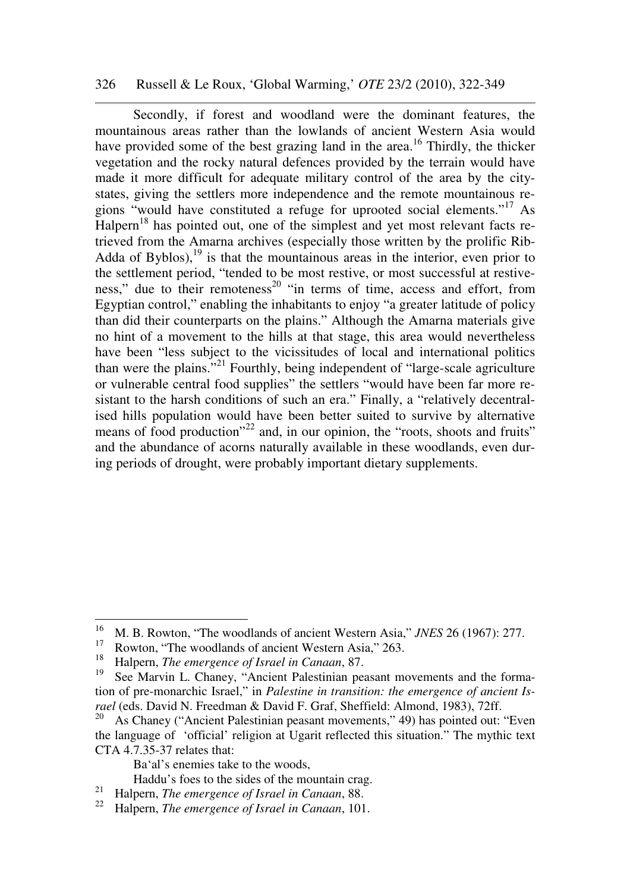#### 326 Russell & Le Roux, 'Global Warming,' *OTE* 23/2 (2010), 322-349

Secondly, if forest and woodland were the dominant features, the mountainous areas rather than the lowlands of ancient Western Asia would have provided some of the best grazing land in the area.<sup>16</sup> Thirdly, the thicker vegetation and the rocky natural defences provided by the terrain would have made it more difficult for adequate military control of the area by the citystates, giving the settlers more independence and the remote mountainous regions "would have constituted a refuge for uprooted social elements."<sup>17</sup> As  $H$ alpern<sup>18</sup> has pointed out, one of the simplest and yet most relevant facts retrieved from the Amarna archives (especially those written by the prolific Rib-Adda of Byblos), $^{19}$  is that the mountainous areas in the interior, even prior to the settlement period, "tended to be most restive, or most successful at restiveness," due to their remoteness<sup>20</sup> "in terms of time, access and effort, from Egyptian control," enabling the inhabitants to enjoy "a greater latitude of policy than did their counterparts on the plains." Although the Amarna materials give no hint of a movement to the hills at that stage, this area would nevertheless have been "less subject to the vicissitudes of local and international politics than were the plains."<sup>21</sup> Fourthly, being independent of "large-scale agriculture or vulnerable central food supplies" the settlers "would have been far more resistant to the harsh conditions of such an era." Finally, a "relatively decentralised hills population would have been better suited to survive by alternative means of food production<sup>"22</sup> and, in our opinion, the "roots, shoots and fruits" and the abundance of acorns naturally available in these woodlands, even during periods of drought, were probably important dietary supplements.

 $\overline{a}$ 

Ba'al's enemies take to the woods,

<sup>16</sup> M. B. Rowton, "The woodlands of ancient Western Asia," *JNES* 26 (1967): 277.

<sup>&</sup>lt;sup>17</sup> Rowton, "The woodlands of ancient Western Asia," 263.

<sup>18</sup> Halpern, *The emergence of Israel in Canaan*, 87.

See Marvin L. Chaney, "Ancient Palestinian peasant movements and the formation of pre-monarchic Israel," in *Palestine in transition: the emergence of ancient Israel* (eds. David N. Freedman & David F. Graf, Sheffield: Almond, 1983), 72ff.

As Chaney ("Ancient Palestinian peasant movements," 49) has pointed out: "Even the language of 'official' religion at Ugarit reflected this situation." The mythic text CTA 4.7.35-37 relates that:

Haddu's foes to the sides of the mountain crag.<br><sup>21</sup> Helpern The emergence of Israel in Gaugan, 89

<sup>21</sup> Halpern, *The emergence of Israel in Canaan*, 88.

<sup>22</sup> Halpern, *The emergence of Israel in Canaan*, 101.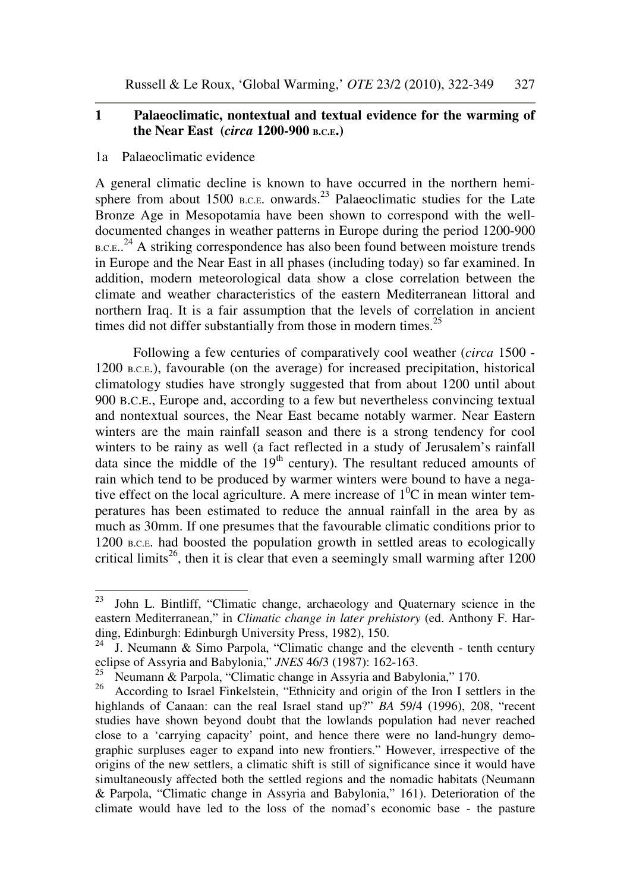Russell & Le Roux, 'Global Warming,' *OTE* 23/2 (2010), 322-349 327

## **1 Palaeoclimatic, nontextual and textual evidence for the warming of the Near East (***circa* **1200-900 B.C.E.)**

#### 1a Palaeoclimatic evidence

A general climatic decline is known to have occurred in the northern hemisphere from about 1500 B.C.E. onwards.<sup>23</sup> Palaeoclimatic studies for the Late Bronze Age in Mesopotamia have been shown to correspond with the welldocumented changes in weather patterns in Europe during the period 1200-900 B.C.E..<sup>24</sup> A striking correspondence has also been found between moisture trends in Europe and the Near East in all phases (including today) so far examined. In addition, modern meteorological data show a close correlation between the climate and weather characteristics of the eastern Mediterranean littoral and northern Iraq. It is a fair assumption that the levels of correlation in ancient times did not differ substantially from those in modern times. $^{25}$ 

Following a few centuries of comparatively cool weather (*circa* 1500 - 1200 B.C.E.), favourable (on the average) for increased precipitation, historical climatology studies have strongly suggested that from about 1200 until about 900 B.C.E., Europe and, according to a few but nevertheless convincing textual and nontextual sources, the Near East became notably warmer. Near Eastern winters are the main rainfall season and there is a strong tendency for cool winters to be rainy as well (a fact reflected in a study of Jerusalem's rainfall data since the middle of the  $19<sup>th</sup>$  century). The resultant reduced amounts of rain which tend to be produced by warmer winters were bound to have a negative effect on the local agriculture. A mere increase of  $1^{0}C$  in mean winter temperatures has been estimated to reduce the annual rainfall in the area by as much as 30mm. If one presumes that the favourable climatic conditions prior to 1200 B.C.E. had boosted the population growth in settled areas to ecologically critical limits<sup>26</sup>, then it is clear that even a seemingly small warming after  $1200$ 

<sup>23</sup> <sup>23</sup> John L. Bintliff, "Climatic change, archaeology and Quaternary science in the eastern Mediterranean," in *Climatic change in later prehistory* (ed. Anthony F. Harding, Edinburgh: Edinburgh University Press, 1982), 150.

 $24$  J. Neumann & Simo Parpola, "Climatic change and the eleventh - tenth century eclipse of Assyria and Babylonia," *JNES* 46/3 (1987): 162-163.

<sup>&</sup>lt;sup>25</sup> Neumann & Parpola, "Climatic change in Assyria and Babylonia," 170.

<sup>&</sup>lt;sup>26</sup> According to Israel Finkelstein, "Ethnicity and origin of the Iron I settlers in the highlands of Canaan: can the real Israel stand up?" *BA* 59/4 (1996), 208, "recent studies have shown beyond doubt that the lowlands population had never reached close to a 'carrying capacity' point, and hence there were no land-hungry demographic surpluses eager to expand into new frontiers." However, irrespective of the origins of the new settlers, a climatic shift is still of significance since it would have simultaneously affected both the settled regions and the nomadic habitats (Neumann & Parpola, "Climatic change in Assyria and Babylonia," 161). Deterioration of the climate would have led to the loss of the nomad's economic base - the pasture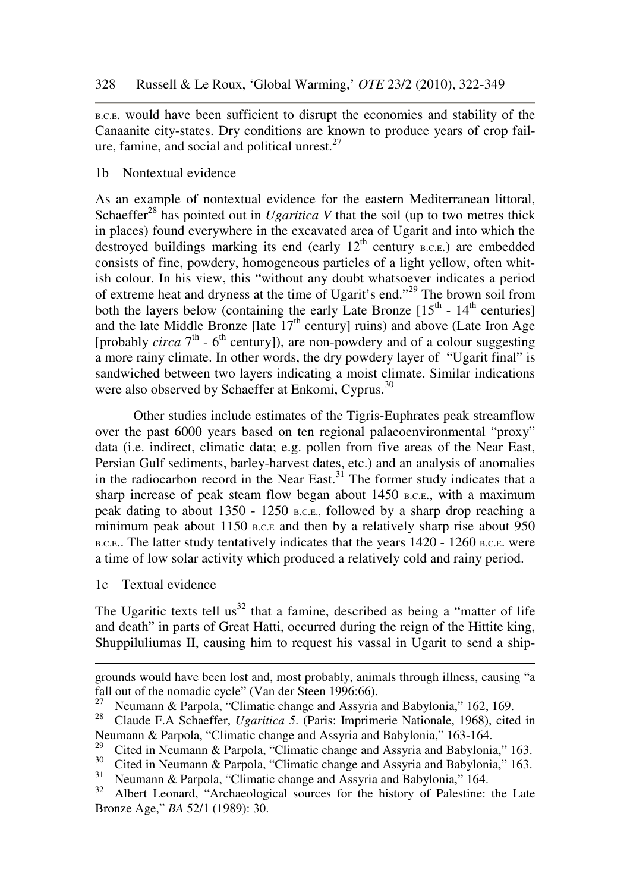<sup>B</sup>.C.E. would have been sufficient to disrupt the economies and stability of the Canaanite city-states. Dry conditions are known to produce years of crop failure, famine, and social and political unrest. $27$ 

## 1b Nontextual evidence

As an example of nontextual evidence for the eastern Mediterranean littoral, Schaeffer<sup>28</sup> has pointed out in *Ugaritica V* that the soil (up to two metres thick in places) found everywhere in the excavated area of Ugarit and into which the destroyed buildings marking its end (early  $12<sup>th</sup>$  century B.C.E.) are embedded consists of fine, powdery, homogeneous particles of a light yellow, often whitish colour. In his view, this "without any doubt whatsoever indicates a period of extreme heat and dryness at the time of Ugarit's end."<sup>29</sup> The brown soil from both the layers below (containing the early Late Bronze  $[15<sup>th</sup> - 14<sup>th</sup>$  centuries] and the late Middle Bronze [late  $17<sup>th</sup>$  century] ruins) and above (Late Iron Age [probably *circa* 7<sup>th</sup> - 6<sup>th</sup> century]), are non-powdery and of a colour suggesting a more rainy climate. In other words, the dry powdery layer of "Ugarit final" is sandwiched between two layers indicating a moist climate. Similar indications were also observed by Schaeffer at Enkomi, Cyprus.<sup>30</sup>

Other studies include estimates of the Tigris-Euphrates peak streamflow over the past 6000 years based on ten regional palaeoenvironmental "proxy" data (i.e. indirect, climatic data; e.g. pollen from five areas of the Near East, Persian Gulf sediments, barley-harvest dates, etc.) and an analysis of anomalies in the radiocarbon record in the Near East.<sup>31</sup> The former study indicates that a sharp increase of peak steam flow began about 1450 B.C.E., with a maximum peak dating to about 1350 - 1250 B.C.E., followed by a sharp drop reaching a minimum peak about 1150 B.C.E and then by a relatively sharp rise about 950 B.C.E.. The latter study tentatively indicates that the years 1420 - 1260 B.C.E. were a time of low solar activity which produced a relatively cold and rainy period.

1c Textual evidence

-

The Ugaritic texts tell us<sup>32</sup> that a famine, described as being a "matter of life" and death" in parts of Great Hatti, occurred during the reign of the Hittite king, Shuppiluliumas II, causing him to request his vassal in Ugarit to send a ship-

grounds would have been lost and, most probably, animals through illness, causing "a fall out of the nomadic cycle" (Van der Steen 1996:66).

<sup>&</sup>lt;sup>27</sup> Neumann & Parpola, "Climatic change and Assyria and Babylonia," 162, 169.<br><sup>28</sup> Claude E.A. Schooffer, *Hagritian*, 5. (Paris: Imprimatic Nationale, 1968), cita

<sup>28</sup> Claude F.A Schaeffer, *Ugaritica 5*. (Paris: Imprimerie Nationale, 1968), cited in Neumann & Parpola, "Climatic change and Assyria and Babylonia," 163-164.

<sup>&</sup>lt;sup>29</sup> Cited in Neumann & Parpola, "Climatic change and Assyria and Babylonia," 163.<br><sup>30</sup> Cited in Neumann & Parrola, "Climatic change and Assyria and Pabylonia," 163.

<sup>&</sup>lt;sup>30</sup> Cited in Neumann & Parpola, "Climatic change and Assyria and Babylonia," 163.<br><sup>31</sup> Neumann & Parpola, "Climatic change and Assyria and Babylonia," 164.

<sup>&</sup>lt;sup>31</sup> Neumann & Parpola, "Climatic change and Assyria and Babylonia," 164.<br><sup>32</sup> Albert Leonard, "Archaeological sources for the history of Palestine:

Albert Leonard, "Archaeological sources for the history of Palestine: the Late Bronze Age," *BA* 52/1 (1989): 30.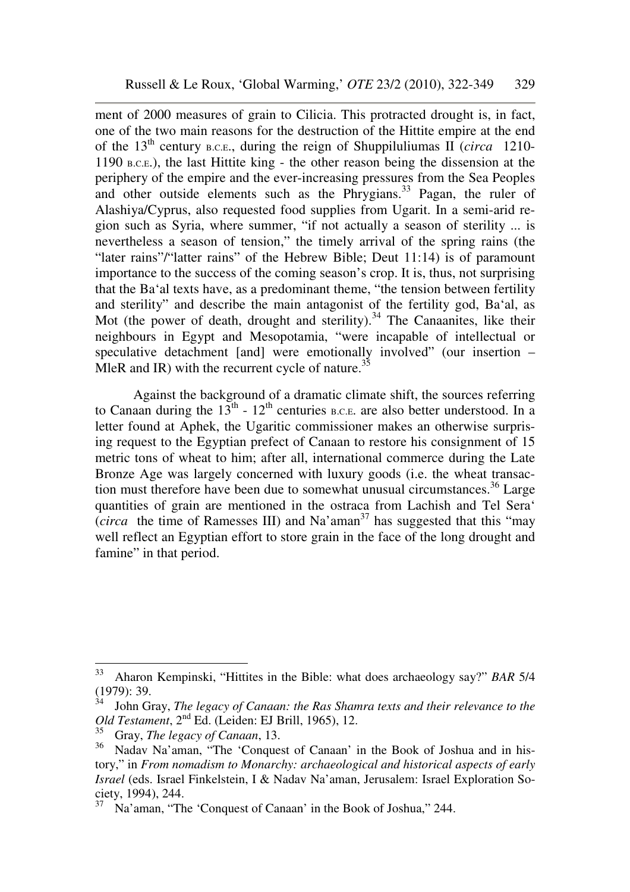ment of 2000 measures of grain to Cilicia. This protracted drought is, in fact, one of the two main reasons for the destruction of the Hittite empire at the end of the 13th century B.C.E., during the reign of Shuppiluliumas II (*circa* 1210- 1190 B.C.E.), the last Hittite king - the other reason being the dissension at the periphery of the empire and the ever-increasing pressures from the Sea Peoples and other outside elements such as the Phrygians.<sup>33</sup> Pagan, the ruler of Alashiya/Cyprus, also requested food supplies from Ugarit. In a semi-arid region such as Syria, where summer, "if not actually a season of sterility ... is nevertheless a season of tension," the timely arrival of the spring rains (the "later rains"/"latter rains" of the Hebrew Bible; Deut 11:14) is of paramount importance to the success of the coming season's crop. It is, thus, not surprising that the Ba'al texts have, as a predominant theme, "the tension between fertility and sterility" and describe the main antagonist of the fertility god, Ba'al, as Mot (the power of death, drought and sterility).<sup>34</sup> The Canaanites, like their neighbours in Egypt and Mesopotamia, "were incapable of intellectual or speculative detachment [and] were emotionally involved" (our insertion – MleR and IR) with the recurrent cycle of nature.<sup>35</sup>

Against the background of a dramatic climate shift, the sources referring to Canaan during the  $13<sup>th</sup>$  -  $12<sup>th</sup>$  centuries B.C.E. are also better understood. In a letter found at Aphek, the Ugaritic commissioner makes an otherwise surprising request to the Egyptian prefect of Canaan to restore his consignment of 15 metric tons of wheat to him; after all, international commerce during the Late Bronze Age was largely concerned with luxury goods (i.e. the wheat transaction must therefore have been due to somewhat unusual circumstances.<sup>36</sup> Large quantities of grain are mentioned in the ostraca from Lachish and Tel Sera'  $\int$  *circa* the time of Ramesses III) and Na'aman<sup>37</sup> has suggested that this "may" well reflect an Egyptian effort to store grain in the face of the long drought and famine" in that period.

<sup>33</sup> <sup>33</sup> Aharon Kempinski, "Hittites in the Bible: what does archaeology say?" *BAR* 5/4 (1979): 39.

<sup>34</sup> John Gray, *The legacy of Canaan: the Ras Shamra texts and their relevance to the Old Testament*, 2nd Ed. (Leiden: EJ Brill, 1965), 12.

<sup>35</sup> Gray, *The legacy of Canaan*, 13.

<sup>&</sup>lt;sup>36</sup> Nadav Na'aman, "The 'Conquest of Canaan' in the Book of Joshua and in history," in *From nomadism to Monarchy: archaeological and historical aspects of early Israel* (eds. Israel Finkelstein, I & Nadav Na'aman, Jerusalem: Israel Exploration Society, 1994), 244.

<sup>37</sup> Na'aman, "The 'Conquest of Canaan' in the Book of Joshua," 244.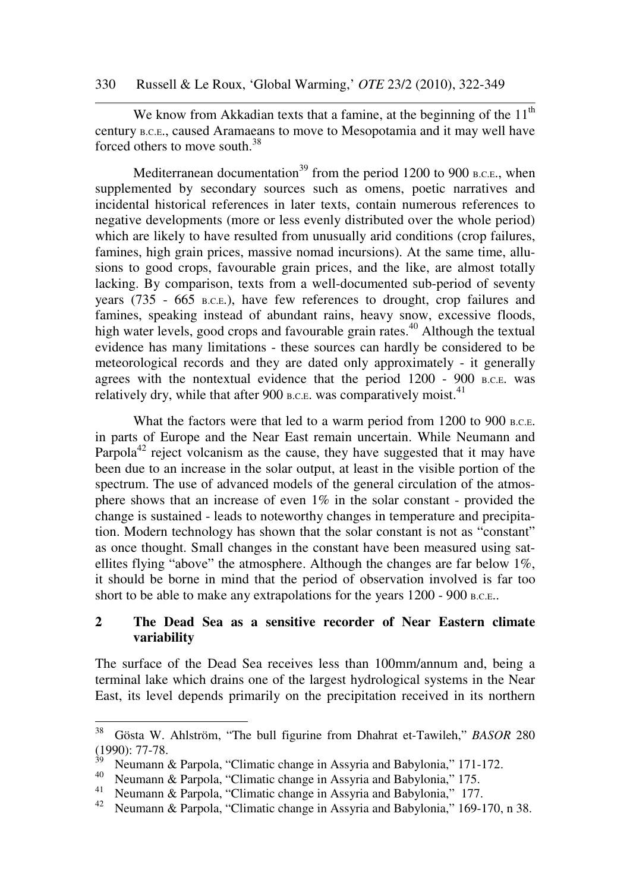330 Russell & Le Roux, 'Global Warming,' *OTE* 23/2 (2010), 322-349

We know from Akkadian texts that a famine, at the beginning of the  $11<sup>th</sup>$ century B.C.E., caused Aramaeans to move to Mesopotamia and it may well have forced others to move south.<sup>38</sup>

Mediterranean documentation<sup>39</sup> from the period 1200 to 900 B.C.E., when supplemented by secondary sources such as omens, poetic narratives and incidental historical references in later texts, contain numerous references to negative developments (more or less evenly distributed over the whole period) which are likely to have resulted from unusually arid conditions (crop failures, famines, high grain prices, massive nomad incursions). At the same time, allusions to good crops, favourable grain prices, and the like, are almost totally lacking. By comparison, texts from a well-documented sub-period of seventy years (735 - 665 B.C.E.), have few references to drought, crop failures and famines, speaking instead of abundant rains, heavy snow, excessive floods, high water levels, good crops and favourable grain rates.<sup>40</sup> Although the textual evidence has many limitations - these sources can hardly be considered to be meteorological records and they are dated only approximately - it generally agrees with the nontextual evidence that the period 1200 - 900 B.C.E. was relatively dry, while that after 900 B.C.E. was comparatively moist.  $41$ 

What the factors were that led to a warm period from 1200 to 900 B.C.E. in parts of Europe and the Near East remain uncertain. While Neumann and Parpola<sup>42</sup> reject volcanism as the cause, they have suggested that it may have been due to an increase in the solar output, at least in the visible portion of the spectrum. The use of advanced models of the general circulation of the atmosphere shows that an increase of even 1% in the solar constant - provided the change is sustained - leads to noteworthy changes in temperature and precipitation. Modern technology has shown that the solar constant is not as "constant" as once thought. Small changes in the constant have been measured using satellites flying "above" the atmosphere. Although the changes are far below 1%, it should be borne in mind that the period of observation involved is far too short to be able to make any extrapolations for the years 1200 - 900 B.C.E..

## **2 The Dead Sea as a sensitive recorder of Near Eastern climate variability**

The surface of the Dead Sea receives less than 100mm/annum and, being a terminal lake which drains one of the largest hydrological systems in the Near East, its level depends primarily on the precipitation received in its northern

<sup>38</sup> <sup>38</sup> Gösta W. Ahlström, "The bull figurine from Dhahrat et-Tawileh," *BASOR* 280  $(1990): 77-78.$ <sup>39</sup> Neumann *8* 

<sup>39</sup> Neumann & Parpola, "Climatic change in Assyria and Babylonia," 171-172.

<sup>&</sup>lt;sup>40</sup> Neumann & Parpola, "Climatic change in Assyria and Babylonia," 175.<br><sup>41</sup> Neumann & Parpola, "Climatic change in Assyria and Babylonia," 177

<sup>&</sup>lt;sup>41</sup> Neumann & Parpola, "Climatic change in Assyria and Babylonia," 177.<br><sup>42</sup> Neumann & Parpola, "Climatic change in Assyria and Babylonia," 169-1

Neumann & Parpola, "Climatic change in Assyria and Babylonia," 169-170, n 38.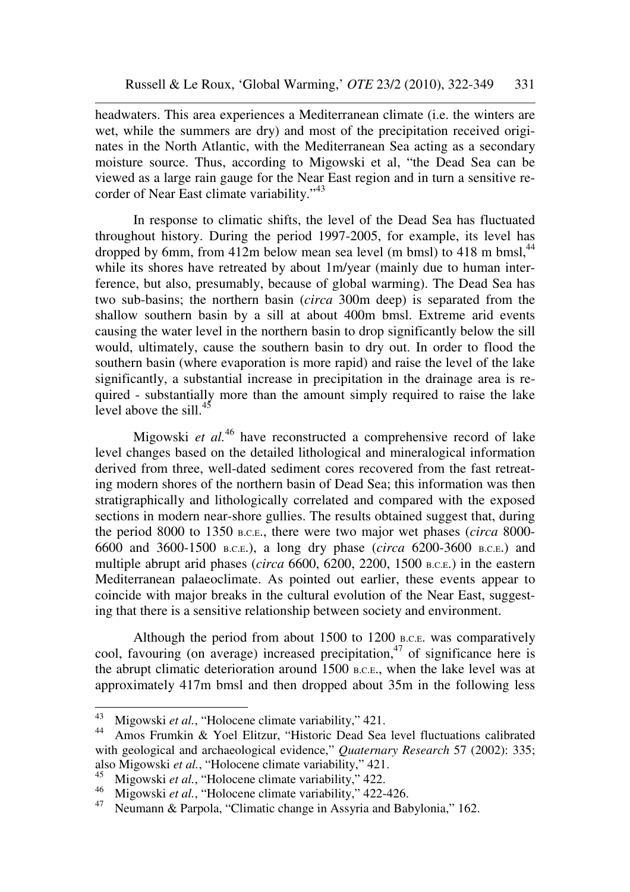headwaters. This area experiences a Mediterranean climate (i.e. the winters are wet, while the summers are dry) and most of the precipitation received originates in the North Atlantic, with the Mediterranean Sea acting as a secondary moisture source. Thus, according to Migowski et al, "the Dead Sea can be viewed as a large rain gauge for the Near East region and in turn a sensitive recorder of Near East climate variability."<sup>43</sup>

In response to climatic shifts, the level of the Dead Sea has fluctuated throughout history. During the period 1997-2005, for example, its level has dropped by 6mm, from 412m below mean sea level (m bmsl) to 418 m bmsl,  $^{44}$ while its shores have retreated by about 1m/year (mainly due to human interference, but also, presumably, because of global warming). The Dead Sea has two sub-basins; the northern basin (*circa* 300m deep) is separated from the shallow southern basin by a sill at about 400m bmsl. Extreme arid events causing the water level in the northern basin to drop significantly below the sill would, ultimately, cause the southern basin to dry out. In order to flood the southern basin (where evaporation is more rapid) and raise the level of the lake significantly, a substantial increase in precipitation in the drainage area is required - substantially more than the amount simply required to raise the lake level above the sill. $45$ 

Migowski *et al.*<sup>46</sup> have reconstructed a comprehensive record of lake level changes based on the detailed lithological and mineralogical information derived from three, well-dated sediment cores recovered from the fast retreating modern shores of the northern basin of Dead Sea; this information was then stratigraphically and lithologically correlated and compared with the exposed sections in modern near-shore gullies. The results obtained suggest that, during the period 8000 to 1350 B.C.E., there were two major wet phases (*circa* 8000- 6600 and 3600-1500 B.C.E.), a long dry phase (*circa* 6200-3600 B.C.E.) and multiple abrupt arid phases (*circa* 6600, 6200, 2200, 1500 B.C.E.) in the eastern Mediterranean palaeoclimate. As pointed out earlier, these events appear to coincide with major breaks in the cultural evolution of the Near East, suggesting that there is a sensitive relationship between society and environment.

Although the period from about 1500 to 1200 B.C.E. was comparatively cool, favouring (on average) increased precipitation, <sup>47</sup> of significance here is the abrupt climatic deterioration around 1500 B.C.E., when the lake level was at approximately 417m bmsl and then dropped about 35m in the following less

<sup>43</sup> <sup>43</sup> Migowski *et al.*, "Holocene climate variability," 421.<br><sup>44</sup> Amos Erumkin & Yool Elitzur, "Historic Dood Soo

Amos Frumkin & Yoel Elitzur, "Historic Dead Sea level fluctuations calibrated with geological and archaeological evidence," *Quaternary Research* 57 (2002): 335; also Migowski *et al.*, "Holocene climate variability," 421.

<sup>&</sup>lt;sup>45</sup> Migowski *et al.*, "Holocene climate variability," 422.

<sup>&</sup>lt;sup>46</sup> Migowski *et al.*, "Holocene climate variability," 422-426.<br><sup>47</sup> Neumann & Parpola "Climatic change in Assyria and Bak

Neumann & Parpola, "Climatic change in Assyria and Babylonia," 162.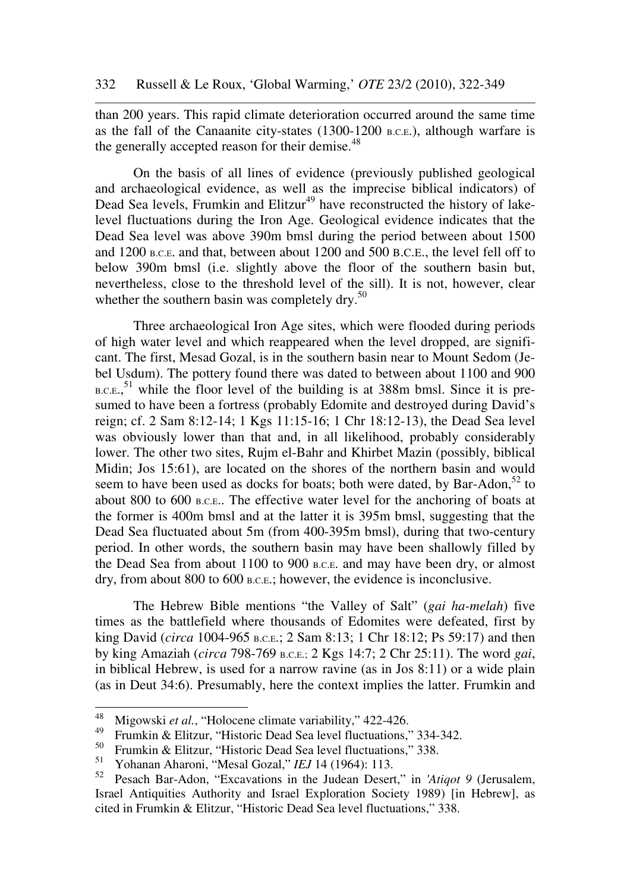than 200 years. This rapid climate deterioration occurred around the same time as the fall of the Canaanite city-states (1300-1200 <sup>B</sup>.C.E.), although warfare is the generally accepted reason for their demise.<sup>48</sup>

On the basis of all lines of evidence (previously published geological and archaeological evidence, as well as the imprecise biblical indicators) of Dead Sea levels, Frumkin and Elitzur<sup>49</sup> have reconstructed the history of lakelevel fluctuations during the Iron Age. Geological evidence indicates that the Dead Sea level was above 390m bmsl during the period between about 1500 and 1200 B.C.E. and that, between about 1200 and 500 B.C.E., the level fell off to below 390m bmsl (i.e. slightly above the floor of the southern basin but, nevertheless, close to the threshold level of the sill). It is not, however, clear whether the southern basin was completely dry. $50$ 

Three archaeological Iron Age sites, which were flooded during periods of high water level and which reappeared when the level dropped, are significant. The first, Mesad Gozal, is in the southern basin near to Mount Sedom (Jebel Usdum). The pottery found there was dated to between about 1100 and 900  $_{\text{B.C.E.}}$ <sup>51</sup> while the floor level of the building is at 388m bmsl. Since it is presumed to have been a fortress (probably Edomite and destroyed during David's reign; cf. 2 Sam 8:12-14; 1 Kgs 11:15-16; 1 Chr 18:12-13), the Dead Sea level was obviously lower than that and, in all likelihood, probably considerably lower. The other two sites, Rujm el-Bahr and Khirbet Mazin (possibly, biblical Midin; Jos 15:61), are located on the shores of the northern basin and would seem to have been used as docks for boats; both were dated, by Bar-Adon,<sup>52</sup> to about 800 to 600 B.C.E.. The effective water level for the anchoring of boats at the former is 400m bmsl and at the latter it is 395m bmsl, suggesting that the Dead Sea fluctuated about 5m (from 400-395m bmsl), during that two-century period. In other words, the southern basin may have been shallowly filled by the Dead Sea from about 1100 to 900 B.C.E. and may have been dry, or almost dry, from about 800 to 600 B.C.E.; however, the evidence is inconclusive.

The Hebrew Bible mentions "the Valley of Salt" (*gai ha-melah*) five times as the battlefield where thousands of Edomites were defeated, first by king David (*circa* 1004-965 B.C.E.; 2 Sam 8:13; 1 Chr 18:12; Ps 59:17) and then by king Amaziah (*circa* 798-769 B.C.E.; 2 Kgs 14:7; 2 Chr 25:11). The word *gai*, in biblical Hebrew, is used for a narrow ravine (as in Jos 8:11) or a wide plain (as in Deut 34:6). Presumably, here the context implies the latter. Frumkin and

<sup>48</sup> <sup>48</sup> Migowski *et al.*, "Holocene climate variability," 422-426.<br><sup>49</sup> Emmlin & Elitaur, "Historic Dood Soc lovel fluctuations."

<sup>&</sup>lt;sup>49</sup> Frumkin & Elitzur, "Historic Dead Sea level fluctuations," 334-342.

<sup>&</sup>lt;sup>50</sup> Frumkin & Elitzur, "Historic Dead Sea level fluctuations," 338.<br> $S_1$  Yelsenan Abanai, "Massl Garal," *IEL* 14 (1064): 112.

<sup>&</sup>lt;sup>51</sup> Yohanan Aharoni, "Mesal Gozal," *IEJ* 14 (1964): 113.<br><sup>52</sup> Pesach Bar-Adon. "Excavations in the Judean Desert

<sup>52</sup> Pesach Bar-Adon, "Excavations in the Judean Desert," in *'Atiqot 9* (Jerusalem, Israel Antiquities Authority and Israel Exploration Society 1989) [in Hebrew], as cited in Frumkin & Elitzur, "Historic Dead Sea level fluctuations," 338.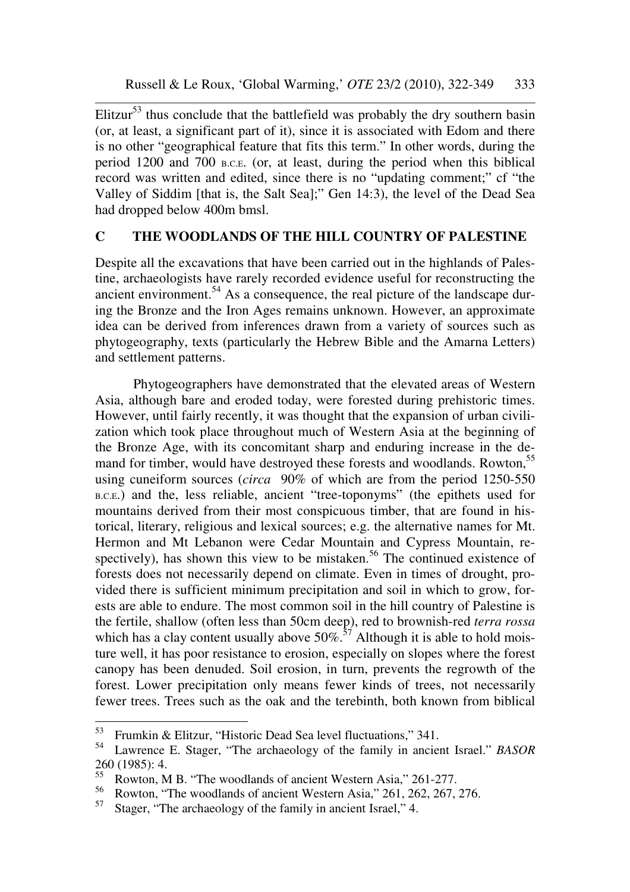Elitzur<sup>53</sup> thus conclude that the battlefield was probably the dry southern basin (or, at least, a significant part of it), since it is associated with Edom and there is no other "geographical feature that fits this term." In other words, during the period 1200 and 700 B.C.E. (or, at least, during the period when this biblical record was written and edited, since there is no "updating comment;" cf "the Valley of Siddim [that is, the Salt Sea];" Gen 14:3), the level of the Dead Sea had dropped below 400m bmsl.

# **C THE WOODLANDS OF THE HILL COUNTRY OF PALESTINE**

Despite all the excavations that have been carried out in the highlands of Palestine, archaeologists have rarely recorded evidence useful for reconstructing the ancient environment.<sup>54</sup> As a consequence, the real picture of the landscape during the Bronze and the Iron Ages remains unknown. However, an approximate idea can be derived from inferences drawn from a variety of sources such as phytogeography, texts (particularly the Hebrew Bible and the Amarna Letters) and settlement patterns.

Phytogeographers have demonstrated that the elevated areas of Western Asia, although bare and eroded today, were forested during prehistoric times. However, until fairly recently, it was thought that the expansion of urban civilization which took place throughout much of Western Asia at the beginning of the Bronze Age, with its concomitant sharp and enduring increase in the demand for timber, would have destroyed these forests and woodlands. Rowton,<sup>55</sup> using cuneiform sources (*circa* 90% of which are from the period 1250-550 <sup>B</sup>.C.E.) and the, less reliable, ancient "tree-toponyms" (the epithets used for mountains derived from their most conspicuous timber, that are found in historical, literary, religious and lexical sources; e.g. the alternative names for Mt. Hermon and Mt Lebanon were Cedar Mountain and Cypress Mountain, respectively), has shown this view to be mistaken.<sup>56</sup> The continued existence of forests does not necessarily depend on climate. Even in times of drought, provided there is sufficient minimum precipitation and soil in which to grow, forests are able to endure. The most common soil in the hill country of Palestine is the fertile, shallow (often less than 50cm deep), red to brownish-red *terra rossa* which has a clay content usually above  $50\%$ <sup>57</sup> Although it is able to hold moisture well, it has poor resistance to erosion, especially on slopes where the forest canopy has been denuded. Soil erosion, in turn, prevents the regrowth of the forest. Lower precipitation only means fewer kinds of trees, not necessarily fewer trees. Trees such as the oak and the terebinth, both known from biblical

<sup>53</sup> <sup>53</sup> Frumkin & Elitzur, "Historic Dead Sea level fluctuations," 341.<br><sup>54</sup> Lawrence E. Stager, "The archaeology of the family in ancien

<sup>54</sup> Lawrence E. Stager, "The archaeology of the family in ancient Israel." *BASOR*  $260(1985): 4.$ <sup>55</sup> Dowton M

<sup>&</sup>lt;sup>55</sup> Rowton, M B. "The woodlands of ancient Western Asia," 261-277.<br><sup>56</sup> Rowton, "The woodlands of ancient Western Asia," 261-262-267.

<sup>&</sup>lt;sup>56</sup> Rowton, "The woodlands of ancient Western Asia," 261, 262, 267, 276.<br><sup>57</sup> Stager, "The archaeology of the family in ancient Israel"  $\Lambda$ 

Stager, "The archaeology of the family in ancient Israel," 4.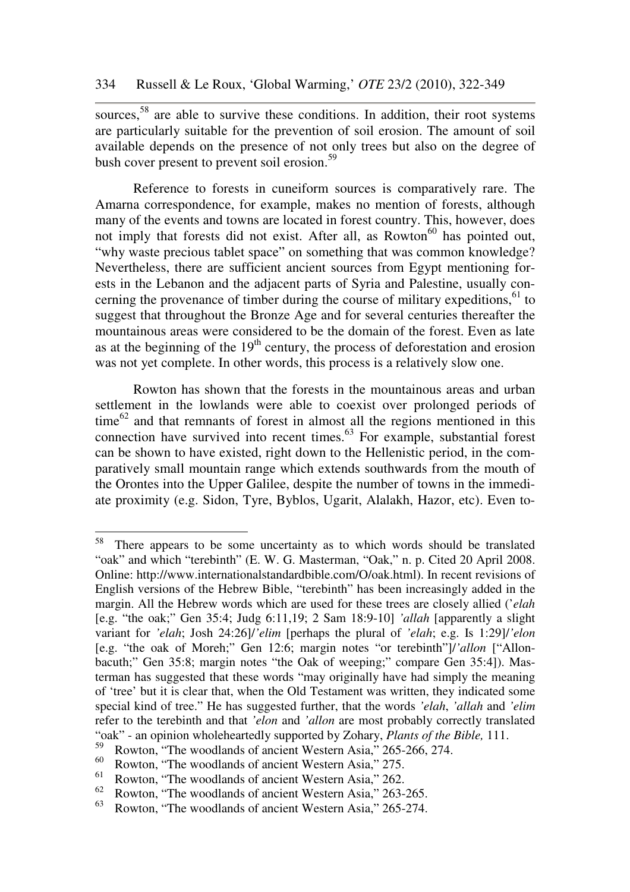sources,<sup>58</sup> are able to survive these conditions. In addition, their root systems are particularly suitable for the prevention of soil erosion. The amount of soil available depends on the presence of not only trees but also on the degree of bush cover present to prevent soil erosion.<sup>59</sup>

Reference to forests in cuneiform sources is comparatively rare. The Amarna correspondence, for example, makes no mention of forests, although many of the events and towns are located in forest country. This, however, does not imply that forests did not exist. After all, as Rowton<sup>60</sup> has pointed out, "why waste precious tablet space" on something that was common knowledge? Nevertheless, there are sufficient ancient sources from Egypt mentioning forests in the Lebanon and the adjacent parts of Syria and Palestine, usually concerning the provenance of timber during the course of military expeditions,  $61$  to suggest that throughout the Bronze Age and for several centuries thereafter the mountainous areas were considered to be the domain of the forest. Even as late as at the beginning of the  $19<sup>th</sup>$  century, the process of deforestation and erosion was not yet complete. In other words, this process is a relatively slow one.

Rowton has shown that the forests in the mountainous areas and urban settlement in the lowlands were able to coexist over prolonged periods of  $time^{62}$  and that remnants of forest in almost all the regions mentioned in this connection have survived into recent times. $63$  For example, substantial forest can be shown to have existed, right down to the Hellenistic period, in the comparatively small mountain range which extends southwards from the mouth of the Orontes into the Upper Galilee, despite the number of towns in the immediate proximity (e.g. Sidon, Tyre, Byblos, Ugarit, Alalakh, Hazor, etc). Even to-

 $\overline{a}$ 

<sup>&</sup>lt;sup>58</sup> There appears to be some uncertainty as to which words should be translated "oak" and which "terebinth" (E. W. G. Masterman, "Oak," n. p. Cited 20 April 2008. Online: http://www.internationalstandardbible.com/O/oak.html). In recent revisions of English versions of the Hebrew Bible, "terebinth" has been increasingly added in the margin. All the Hebrew words which are used for these trees are closely allied ('*elah* [e.g. "the oak;" Gen 35:4; Judg 6:11,19; 2 Sam 18:9-10] *'allah* [apparently a slight variant for *'elah*; Josh 24:26]/*'elim* [perhaps the plural of *'elah*; e.g. Is 1:29]/*'elon* [e.g. "the oak of Moreh;" Gen 12:6; margin notes "or terebinth"]/*'allon* ["Allonbacuth;" Gen 35:8; margin notes "the Oak of weeping;" compare Gen 35:4]). Masterman has suggested that these words "may originally have had simply the meaning of 'tree' but it is clear that, when the Old Testament was written, they indicated some special kind of tree." He has suggested further, that the words *'elah*, *'allah* and *'elim* refer to the terebinth and that *'elon* and *'allon* are most probably correctly translated "oak" - an opinion wholeheartedly supported by Zohary, *Plants of the Bible,* 111.

 $59$  Rowton, "The woodlands of ancient Western Asia," 265-266, 274.

<sup>&</sup>lt;sup>60</sup> Rowton, "The woodlands of ancient Western Asia," 275.<br><sup>61</sup> Rowton, "The woodlands of ancient Western Asia," 262.

<sup>&</sup>lt;sup>61</sup> Rowton, "The woodlands of ancient Western Asia," 262.<br><sup>62</sup> Powton, "The woodlands of ancient Western Asia," 263

<sup>&</sup>lt;sup>62</sup> Rowton, "The woodlands of ancient Western Asia," 263-265.<br><sup>63</sup> Powton, "The woodlands of ancient Western Asia," 265, 274.

Rowton, "The woodlands of ancient Western Asia," 265-274.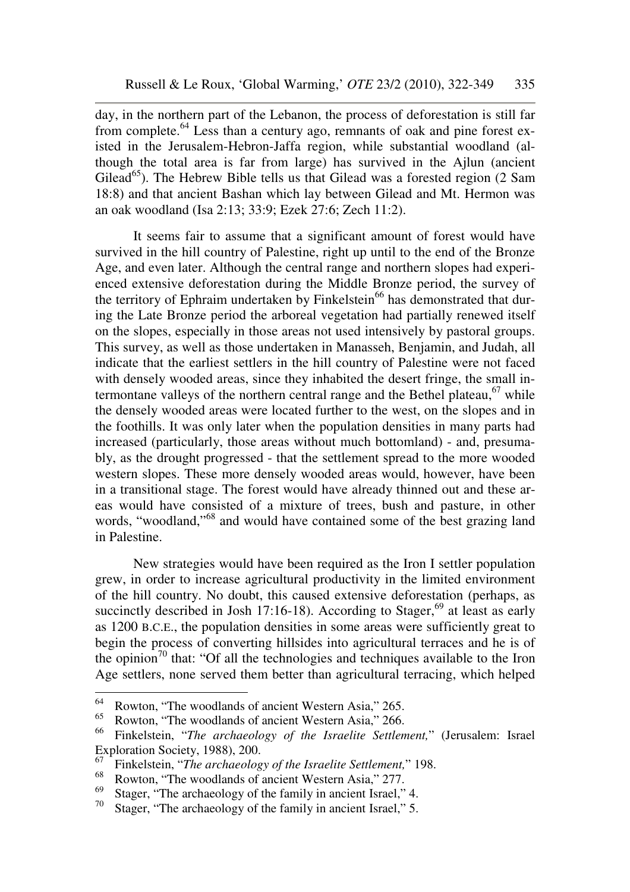day, in the northern part of the Lebanon, the process of deforestation is still far from complete.<sup>64</sup> Less than a century ago, remnants of oak and pine forest existed in the Jerusalem-Hebron-Jaffa region, while substantial woodland (although the total area is far from large) has survived in the Ajlun (ancient Gilead<sup>65</sup>). The Hebrew Bible tells us that Gilead was a forested region  $(2 \text{ Sam})$ 18:8) and that ancient Bashan which lay between Gilead and Mt. Hermon was an oak woodland (Isa 2:13; 33:9; Ezek 27:6; Zech 11:2).

It seems fair to assume that a significant amount of forest would have survived in the hill country of Palestine, right up until to the end of the Bronze Age, and even later. Although the central range and northern slopes had experienced extensive deforestation during the Middle Bronze period, the survey of the territory of Ephraim undertaken by Finkelstein<sup>66</sup> has demonstrated that during the Late Bronze period the arboreal vegetation had partially renewed itself on the slopes, especially in those areas not used intensively by pastoral groups. This survey, as well as those undertaken in Manasseh, Benjamin, and Judah, all indicate that the earliest settlers in the hill country of Palestine were not faced with densely wooded areas, since they inhabited the desert fringe, the small intermontane valleys of the northern central range and the Bethel plateau,  $67$  while the densely wooded areas were located further to the west, on the slopes and in the foothills. It was only later when the population densities in many parts had increased (particularly, those areas without much bottomland) - and, presumably, as the drought progressed - that the settlement spread to the more wooded western slopes. These more densely wooded areas would, however, have been in a transitional stage. The forest would have already thinned out and these areas would have consisted of a mixture of trees, bush and pasture, in other words, "woodland,"<sup>68</sup> and would have contained some of the best grazing land in Palestine.

New strategies would have been required as the Iron I settler population grew, in order to increase agricultural productivity in the limited environment of the hill country. No doubt, this caused extensive deforestation (perhaps, as succinctly described in Josh 17:16-18). According to Stager,<sup>69</sup> at least as early as 1200 B.C.E., the population densities in some areas were sufficiently great to begin the process of converting hillsides into agricultural terraces and he is of the opinion<sup>70</sup> that: "Of all the technologies and techniques available to the Iron Age settlers, none served them better than agricultural terracing, which helped

<sup>64</sup> <sup>64</sup> Rowton, "The woodlands of ancient Western Asia," 265.<br><sup>65</sup> Rowton, "The woodlands of ancient Western Asia," 266.

<sup>&</sup>lt;sup>65</sup> Rowton, "The woodlands of ancient Western Asia," 266.<br><sup>66</sup> Einkelstein, "*The archaeology of the Israelite Settlen* 

<sup>66</sup> Finkelstein, "*The archaeology of the Israelite Settlement,*" (Jerusalem: Israel Exploration Society, 1988), 200.

<sup>&</sup>lt;sup>67</sup> Finkelstein, "*The archaeology of the Israelite Settlement*," 198.<br><sup>68</sup> Powton, "The weedlands of apsient Western Asia" 277

<sup>&</sup>lt;sup>68</sup> Rowton, "The woodlands of ancient Western Asia," 277.<br><sup>69</sup> Stoger, "The archaeology of the family in apoient Israel"

<sup>&</sup>lt;sup>69</sup> Stager, "The archaeology of the family in ancient Israel," 4.<br><sup>70</sup> Stager, "The archaeology of the family in ancient Israel," 5

Stager, "The archaeology of the family in ancient Israel," 5.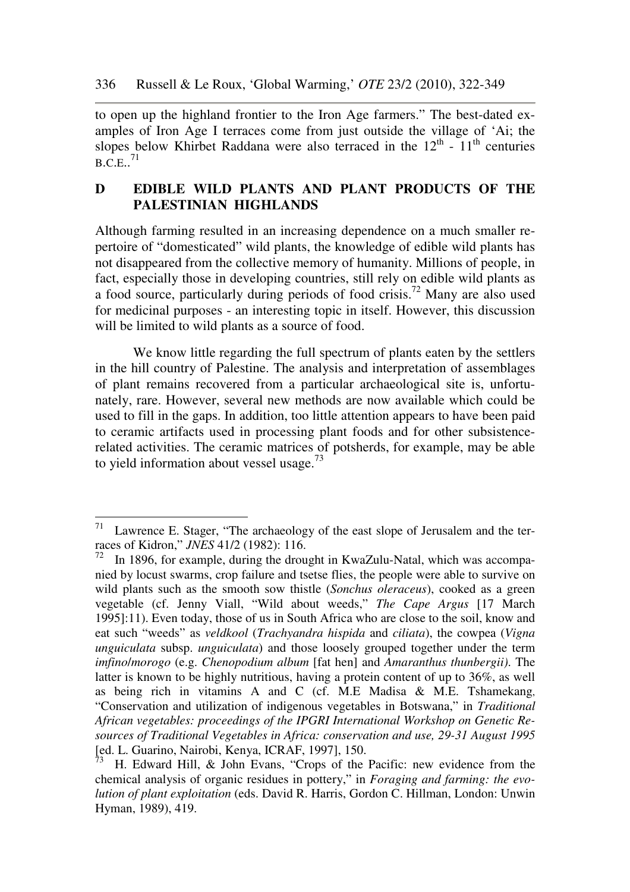to open up the highland frontier to the Iron Age farmers." The best-dated examples of Iron Age I terraces come from just outside the village of 'Ai; the slopes below Khirbet Raddana were also terraced in the  $12<sup>th</sup>$  -  $11<sup>th</sup>$  centuries  $B.C.E..<sup>71</sup>$ 

## **D EDIBLE WILD PLANTS AND PLANT PRODUCTS OF THE PALESTINIAN HIGHLANDS**

Although farming resulted in an increasing dependence on a much smaller repertoire of "domesticated" wild plants, the knowledge of edible wild plants has not disappeared from the collective memory of humanity. Millions of people, in fact, especially those in developing countries, still rely on edible wild plants as a food source, particularly during periods of food crisis.<sup>72</sup> Many are also used for medicinal purposes - an interesting topic in itself. However, this discussion will be limited to wild plants as a source of food.

We know little regarding the full spectrum of plants eaten by the settlers in the hill country of Palestine. The analysis and interpretation of assemblages of plant remains recovered from a particular archaeological site is, unfortunately, rare. However, several new methods are now available which could be used to fill in the gaps. In addition, too little attention appears to have been paid to ceramic artifacts used in processing plant foods and for other subsistencerelated activities. The ceramic matrices of potsherds, for example, may be able to yield information about vessel usage.<sup>73</sup>

 $71\,$ Lawrence E. Stager, "The archaeology of the east slope of Jerusalem and the terraces of Kidron," *JNES* 41/2 (1982): 116.

 $72$  In 1896, for example, during the drought in KwaZulu-Natal, which was accompanied by locust swarms, crop failure and tsetse flies, the people were able to survive on wild plants such as the smooth sow thistle (*Sonchus oleraceus*), cooked as a green vegetable (cf. Jenny Viall, "Wild about weeds," *The Cape Argus* [17 March 1995]:11). Even today, those of us in South Africa who are close to the soil, know and eat such "weeds" as *veldkool* (*Trachyandra hispida* and *ciliata*), the cowpea (*Vigna unguiculata* subsp. *unguiculata*) and those loosely grouped together under the term *imfino*/*morogo* (e.g. *Chenopodium album* [fat hen] and *Amaranthus thunbergii)*. The latter is known to be highly nutritious, having a protein content of up to 36%, as well as being rich in vitamins A and C (cf. M.E Madisa & M.E. Tshamekang, "Conservation and utilization of indigenous vegetables in Botswana," in *Traditional African vegetables: proceedings of the IPGRI International Workshop on Genetic Resources of Traditional Vegetables in Africa: conservation and use, 29-31 August 1995* [ed. L. Guarino, Nairobi, Kenya, ICRAF, 1997], 150.

H. Edward Hill, & John Evans, "Crops of the Pacific: new evidence from the chemical analysis of organic residues in pottery," in *Foraging and farming: the evolution of plant exploitation* (eds. David R. Harris, Gordon C. Hillman, London: Unwin Hyman, 1989), 419.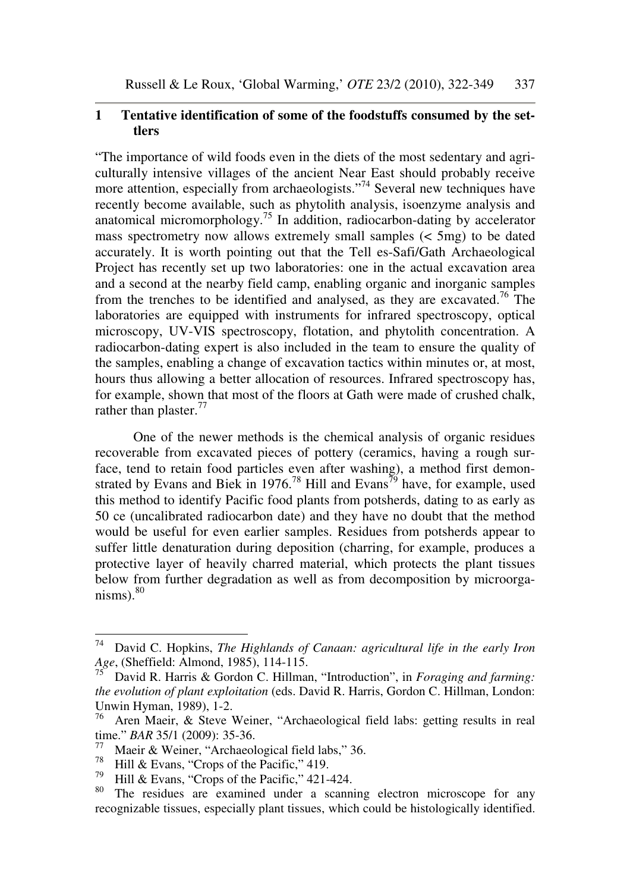#### **1 Tentative identification of some of the foodstuffs consumed by the settlers**

"The importance of wild foods even in the diets of the most sedentary and agriculturally intensive villages of the ancient Near East should probably receive more attention, especially from archaeologists."<sup>74</sup> Several new techniques have recently become available, such as phytolith analysis, isoenzyme analysis and anatomical micromorphology.<sup>75</sup> In addition, radiocarbon-dating by accelerator mass spectrometry now allows extremely small samples  $( $5mg$ )$  to be dated accurately. It is worth pointing out that the Tell es-Safi/Gath Archaeological Project has recently set up two laboratories: one in the actual excavation area and a second at the nearby field camp, enabling organic and inorganic samples from the trenches to be identified and analysed, as they are excavated.<sup>76</sup> The laboratories are equipped with instruments for infrared spectroscopy, optical microscopy, UV-VIS spectroscopy, flotation, and phytolith concentration. A radiocarbon-dating expert is also included in the team to ensure the quality of the samples, enabling a change of excavation tactics within minutes or, at most, hours thus allowing a better allocation of resources. Infrared spectroscopy has, for example, shown that most of the floors at Gath were made of crushed chalk, rather than plaster. $77$ 

One of the newer methods is the chemical analysis of organic residues recoverable from excavated pieces of pottery (ceramics, having a rough surface, tend to retain food particles even after washing), a method first demonstrated by Evans and Biek in 1976.<sup>78</sup> Hill and Evans<sup>79</sup> have, for example, used this method to identify Pacific food plants from potsherds, dating to as early as 50 ce (uncalibrated radiocarbon date) and they have no doubt that the method would be useful for even earlier samples. Residues from potsherds appear to suffer little denaturation during deposition (charring, for example, produces a protective layer of heavily charred material, which protects the plant tissues below from further degradation as well as from decomposition by microorganisms). $80$ 

<sup>74</sup> David C. Hopkins, *The Highlands of Canaan: agricultural life in the early Iron Age*, (Sheffield: Almond, 1985), 114-115.

<sup>75</sup> David R. Harris & Gordon C. Hillman, "Introduction", in *Foraging and farming: the evolution of plant exploitation* (eds. David R. Harris, Gordon C. Hillman, London: Unwin Hyman, 1989), 1-2.<br> $\frac{76}{10}$  Aren Maoir, & Stave

<sup>76</sup> Aren Maeir, & Steve Weiner, "Archaeological field labs: getting results in real time." *BAR* 35/1 (2009): 35-36.

<sup>77</sup> Maeir & Weiner, "Archaeological field labs," 36.

<sup>&</sup>lt;sup>78</sup> Hill & Evans, "Crops of the Pacific," 419.

 $^{79}$  Hill & Evans, "Crops of the Pacific," 421-424.

The residues are examined under a scanning electron microscope for any recognizable tissues, especially plant tissues, which could be histologically identified.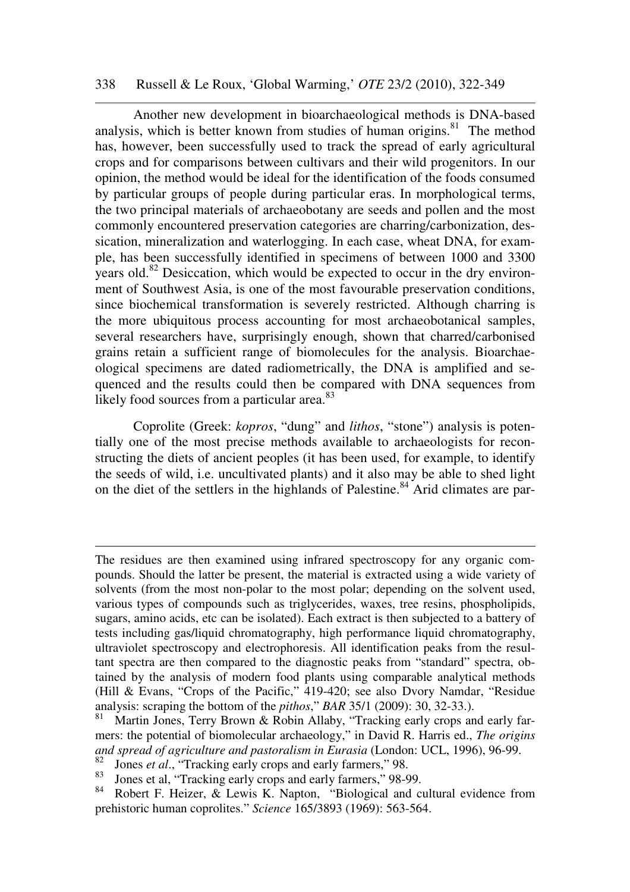#### 338 Russell & Le Roux, 'Global Warming,' *OTE* 23/2 (2010), 322-349

Another new development in bioarchaeological methods is DNA-based analysis, which is better known from studies of human origins. $81$  The method has, however, been successfully used to track the spread of early agricultural crops and for comparisons between cultivars and their wild progenitors. In our opinion, the method would be ideal for the identification of the foods consumed by particular groups of people during particular eras. In morphological terms, the two principal materials of archaeobotany are seeds and pollen and the most commonly encountered preservation categories are charring/carbonization, dessication, mineralization and waterlogging. In each case, wheat DNA, for example, has been successfully identified in specimens of between 1000 and 3300 years old.<sup>82</sup> Desiccation, which would be expected to occur in the dry environment of Southwest Asia, is one of the most favourable preservation conditions, since biochemical transformation is severely restricted. Although charring is the more ubiquitous process accounting for most archaeobotanical samples, several researchers have, surprisingly enough, shown that charred/carbonised grains retain a sufficient range of biomolecules for the analysis. Bioarchaeological specimens are dated radiometrically, the DNA is amplified and sequenced and the results could then be compared with DNA sequences from likely food sources from a particular area.<sup>83</sup>

Coprolite (Greek: *kopros*, "dung" and *lithos*, "stone") analysis is potentially one of the most precise methods available to archaeologists for reconstructing the diets of ancient peoples (it has been used, for example, to identify the seeds of wild, i.e. uncultivated plants) and it also may be able to shed light on the diet of the settlers in the highlands of Palestine.<sup>84</sup> Arid climates are par-

-

The residues are then examined using infrared spectroscopy for any organic compounds. Should the latter be present, the material is extracted using a wide variety of solvents (from the most non-polar to the most polar; depending on the solvent used, various types of compounds such as triglycerides, waxes, tree resins, phospholipids, sugars, amino acids, etc can be isolated). Each extract is then subjected to a battery of tests including gas/liquid chromatography, high performance liquid chromatography, ultraviolet spectroscopy and electrophoresis. All identification peaks from the resultant spectra are then compared to the diagnostic peaks from "standard" spectra, obtained by the analysis of modern food plants using comparable analytical methods (Hill & Evans, "Crops of the Pacific," 419-420; see also Dvory Namdar, "Residue analysis: scraping the bottom of the *pithos*," *BAR* 35/1 (2009): 30, 32-33.).

Martin Jones, Terry Brown & Robin Allaby, "Tracking early crops and early farmers: the potential of biomolecular archaeology," in David R. Harris ed., *The origins and spread of agriculture and pastoralism in Eurasia* (London: UCL, 1996), 96-99.

<sup>&</sup>lt;sup>82</sup> Jones *et al.*, "Tracking early crops and early farmers," 98.

<sup>&</sup>lt;sup>83</sup> Jones et al, "Tracking early crops and early farmers," 98-99.<br><sup>84</sup> Pobert E. Heizer, & Lawis K. Napton. "Biological and co

Robert F. Heizer, & Lewis K. Napton, "Biological and cultural evidence from prehistoric human coprolites." *Science* 165/3893 (1969): 563-564.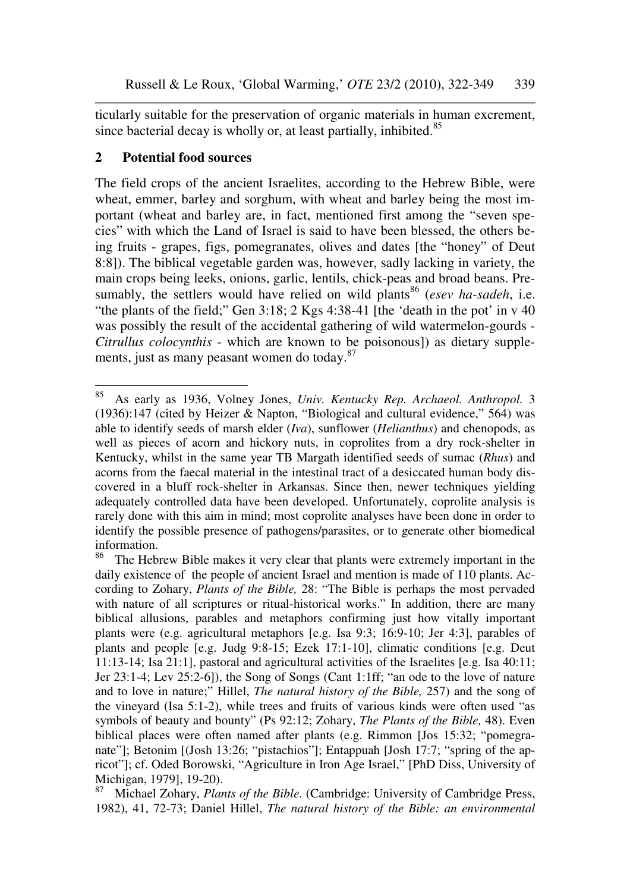ticularly suitable for the preservation of organic materials in human excrement, since bacterial decay is wholly or, at least partially, inhibited.<sup>85</sup>

## **2 Potential food sources**

The field crops of the ancient Israelites, according to the Hebrew Bible, were wheat, emmer, barley and sorghum, with wheat and barley being the most important (wheat and barley are, in fact, mentioned first among the "seven species" with which the Land of Israel is said to have been blessed, the others being fruits - grapes, figs, pomegranates, olives and dates [the "honey" of Deut 8:8]). The biblical vegetable garden was, however, sadly lacking in variety, the main crops being leeks, onions, garlic, lentils, chick-peas and broad beans. Presumably, the settlers would have relied on wild plants<sup>86</sup> (*esev ha-sadeh*, i.e. "the plants of the field;" Gen 3:18; 2 Kgs 4:38-41 [the 'death in the pot' in v 40 was possibly the result of the accidental gathering of wild watermelon-gourds - *Citrullus colocynthis* - which are known to be poisonous]) as dietary supplements, just as many peasant women do today.<sup>87</sup>

<sup>85</sup> <sup>85</sup> As early as 1936, Volney Jones, *Univ. Kentucky Rep. Archaeol. Anthropol.* 3 (1936):147 (cited by Heizer & Napton, "Biological and cultural evidence," 564) was able to identify seeds of marsh elder (*Iva*), sunflower (*Helianthus*) and chenopods, as well as pieces of acorn and hickory nuts, in coprolites from a dry rock-shelter in Kentucky, whilst in the same year TB Margath identified seeds of sumac (*Rhus*) and acorns from the faecal material in the intestinal tract of a desiccated human body discovered in a bluff rock-shelter in Arkansas. Since then, newer techniques yielding adequately controlled data have been developed. Unfortunately, coprolite analysis is rarely done with this aim in mind; most coprolite analyses have been done in order to identify the possible presence of pathogens/parasites, or to generate other biomedical information.

<sup>&</sup>lt;sup>86</sup> The Hebrew Bible makes it very clear that plants were extremely important in the daily existence of the people of ancient Israel and mention is made of 110 plants. According to Zohary, *Plants of the Bible,* 28: "The Bible is perhaps the most pervaded with nature of all scriptures or ritual-historical works." In addition, there are many biblical allusions, parables and metaphors confirming just how vitally important plants were (e.g. agricultural metaphors [e.g. Isa 9:3; 16:9-10; Jer 4:3], parables of plants and people [e.g. Judg 9:8-15; Ezek 17:1-10], climatic conditions [e.g. Deut 11:13-14; Isa 21:1], pastoral and agricultural activities of the Israelites [e.g. Isa 40:11; Jer 23:1-4; Lev 25:2-6]), the Song of Songs (Cant 1:1ff; "an ode to the love of nature and to love in nature;" Hillel, *The natural history of the Bible,* 257) and the song of the vineyard (Isa 5:1-2), while trees and fruits of various kinds were often used "as symbols of beauty and bounty" (Ps 92:12; Zohary, *The Plants of the Bible,* 48). Even biblical places were often named after plants (e.g. Rimmon [Jos 15:32; "pomegranate"]; Betonim [(Josh 13:26; "pistachios"]; Entappuah [Josh 17:7; "spring of the apricot"]; cf. Oded Borowski, "Agriculture in Iron Age Israel," [PhD Diss, University of Michigan, 1979], 19-20).

<sup>87</sup> Michael Zohary, *Plants of the Bible*. (Cambridge: University of Cambridge Press, 1982), 41, 72-73; Daniel Hillel, *The natural history of the Bible: an environmental*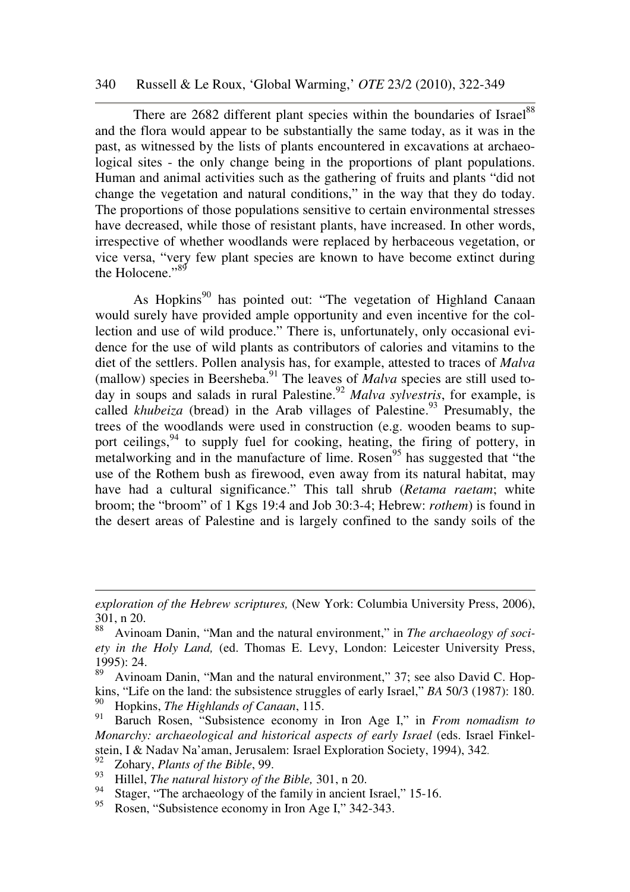#### 340 Russell & Le Roux, 'Global Warming,' *OTE* 23/2 (2010), 322-349

There are 2682 different plant species within the boundaries of Israel<sup>88</sup> and the flora would appear to be substantially the same today, as it was in the past, as witnessed by the lists of plants encountered in excavations at archaeological sites - the only change being in the proportions of plant populations. Human and animal activities such as the gathering of fruits and plants "did not change the vegetation and natural conditions," in the way that they do today. The proportions of those populations sensitive to certain environmental stresses have decreased, while those of resistant plants, have increased. In other words, irrespective of whether woodlands were replaced by herbaceous vegetation, or vice versa, "very few plant species are known to have become extinct during the Holocene." $89$ 

As Hopkins<sup>90</sup> has pointed out: "The vegetation of Highland Canaan would surely have provided ample opportunity and even incentive for the collection and use of wild produce." There is, unfortunately, only occasional evidence for the use of wild plants as contributors of calories and vitamins to the diet of the settlers. Pollen analysis has, for example, attested to traces of *Malva* (mallow) species in Beersheba.<sup>91</sup> The leaves of *Malva* species are still used today in soups and salads in rural Palestine.<sup>92</sup> *Malva sylvestris*, for example, is called *khubeiza* (bread) in the Arab villages of Palestine.<sup>93</sup> Presumably, the trees of the woodlands were used in construction (e.g. wooden beams to support ceilings,  $94$  to supply fuel for cooking, heating, the firing of pottery, in metalworking and in the manufacture of lime. Rosen<sup>95</sup> has suggested that "the use of the Rothem bush as firewood, even away from its natural habitat, may have had a cultural significance." This tall shrub (*Retama raetam*; white broom; the "broom" of 1 Kgs 19:4 and Job 30:3-4; Hebrew: *rothem*) is found in the desert areas of Palestine and is largely confined to the sandy soils of the

-

*exploration of the Hebrew scriptures,* (New York: Columbia University Press, 2006), 301, n 20.

<sup>88</sup> Avinoam Danin, "Man and the natural environment," in *The archaeology of society in the Holy Land,* (ed. Thomas E. Levy, London: Leicester University Press, 1995): 24.

Avinoam Danin, "Man and the natural environment," 37; see also David C. Hopkins, "Life on the land: the subsistence struggles of early Israel," *BA* 50/3 (1987): 180. <sup>90</sup> Hopkins, *The Highlands of Canaan*, 115.

<sup>91</sup> Baruch Rosen, "Subsistence economy in Iron Age I," in *From nomadism to Monarchy: archaeological and historical aspects of early Israel* (eds. Israel Finkelstein, I & Nadav Na'aman, Jerusalem: Israel Exploration Society, 1994), 342.

<sup>92</sup> Zohary, *Plants of the Bible*, 99.

<sup>&</sup>lt;sup>93</sup> Hillel, *The natural history of the Bible*, 301, n 20.

<sup>&</sup>lt;sup>94</sup> Stager, "The archaeology of the family in ancient Israel," 15-16.<br><sup>95</sup> Rosen "Subsistance economy in Iron Age I" 342-343

Rosen, "Subsistence economy in Iron Age I," 342-343.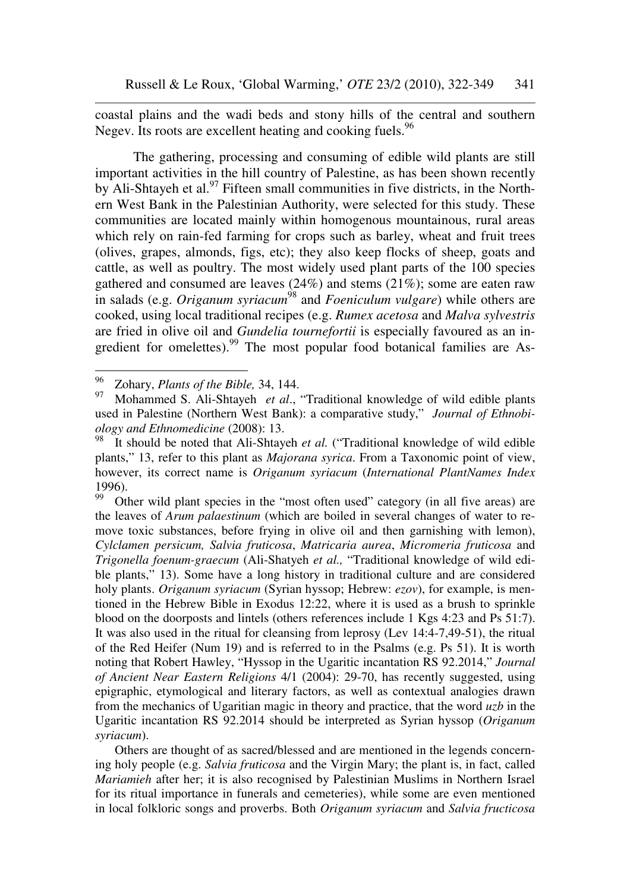coastal plains and the wadi beds and stony hills of the central and southern Negev. Its roots are excellent heating and cooking fuels.<sup>96</sup>

The gathering, processing and consuming of edible wild plants are still important activities in the hill country of Palestine, as has been shown recently by Ali-Shtayeh et al.<sup>97</sup> Fifteen small communities in five districts, in the Northern West Bank in the Palestinian Authority, were selected for this study. These communities are located mainly within homogenous mountainous, rural areas which rely on rain-fed farming for crops such as barley, wheat and fruit trees (olives, grapes, almonds, figs, etc); they also keep flocks of sheep, goats and cattle, as well as poultry. The most widely used plant parts of the 100 species gathered and consumed are leaves  $(24%)$  and stems  $(21%)$ ; some are eaten raw in salads (e.g. *Origanum syriacum*<sup>98</sup> and *Foeniculum vulgare*) while others are cooked, using local traditional recipes (e.g. *Rumex acetosa* and *Malva sylvestris* are fried in olive oil and *Gundelia tournefortii* is especially favoured as an ingredient for omelettes).<sup>99</sup> The most popular food botanical families are As-

Other wild plant species in the "most often used" category (in all five areas) are the leaves of *Arum palaestinum* (which are boiled in several changes of water to remove toxic substances, before frying in olive oil and then garnishing with lemon), *Cylclamen persicum, Salvia fruticosa*, *Matricaria aurea*, *Micromeria fruticosa* and *Trigonella foenum-graecum* (Ali-Shatyeh *et al.,* "Traditional knowledge of wild edible plants," 13). Some have a long history in traditional culture and are considered holy plants. *Origanum syriacum* (Syrian hyssop; Hebrew: *ezov*), for example, is mentioned in the Hebrew Bible in Exodus 12:22, where it is used as a brush to sprinkle blood on the doorposts and lintels (others references include 1 Kgs 4:23 and Ps 51:7). It was also used in the ritual for cleansing from leprosy (Lev 14:4-7,49-51), the ritual of the Red Heifer (Num 19) and is referred to in the Psalms (e.g. Ps 51). It is worth noting that Robert Hawley, "Hyssop in the Ugaritic incantation RS 92.2014," *Journal of Ancient Near Eastern Religions* 4/1 (2004): 29-70, has recently suggested, using epigraphic, etymological and literary factors, as well as contextual analogies drawn from the mechanics of Ugaritian magic in theory and practice, that the word *uzb* in the Ugaritic incantation RS 92.2014 should be interpreted as Syrian hyssop (*Origanum syriacum*).

 Others are thought of as sacred/blessed and are mentioned in the legends concerning holy people (e.g. *Salvia fruticosa* and the Virgin Mary; the plant is, in fact, called *Mariamieh* after her; it is also recognised by Palestinian Muslims in Northern Israel for its ritual importance in funerals and cemeteries), while some are even mentioned in local folkloric songs and proverbs. Both *Origanum syriacum* and *Salvia fructicosa*

<sup>96</sup> <sup>96</sup> Zohary, *Plants of the Bible,* 34, 144.

<sup>97</sup> Mohammed S. Ali-Shtayeh *et al*., "Traditional knowledge of wild edible plants used in Palestine (Northern West Bank): a comparative study," *Journal of Ethnobiology and Ethnomedicine* (2008): 13.

<sup>&</sup>lt;sup>98</sup> It should be noted that Ali-Shtayeh *et al.* ("Traditional knowledge of wild edible plants," 13, refer to this plant as *Majorana syrica*. From a Taxonomic point of view, however, its correct name is *Origanum syriacum* (*International PlantNames Index*  $\frac{1996}{99}$ .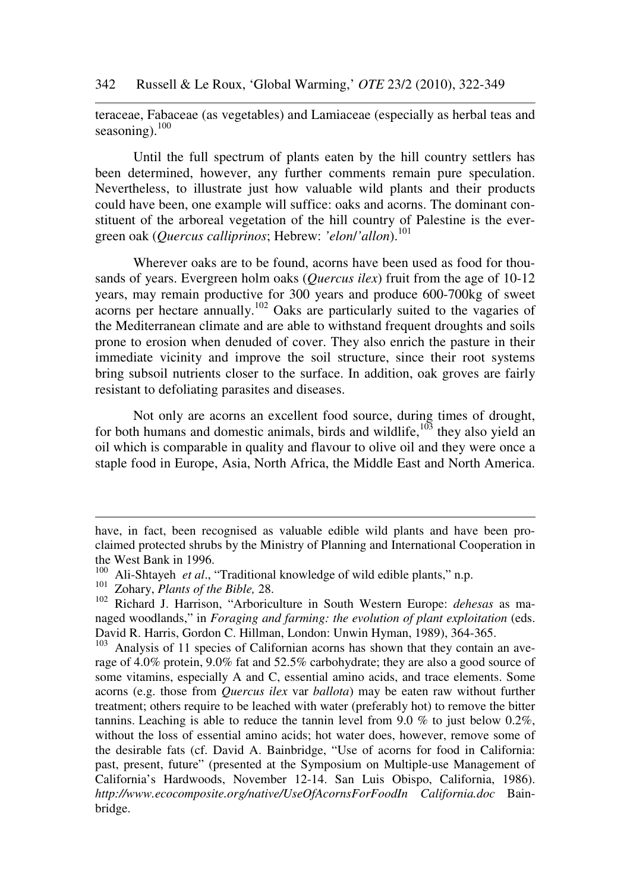teraceae, Fabaceae (as vegetables) and Lamiaceae (especially as herbal teas and seasoning). $100$ 

Until the full spectrum of plants eaten by the hill country settlers has been determined, however, any further comments remain pure speculation. Nevertheless, to illustrate just how valuable wild plants and their products could have been, one example will suffice: oaks and acorns. The dominant constituent of the arboreal vegetation of the hill country of Palestine is the evergreen oak (*Quercus calliprinos*; Hebrew: *'elon*/*'allon*).<sup>101</sup>

Wherever oaks are to be found, acorns have been used as food for thousands of years. Evergreen holm oaks (*Quercus ilex*) fruit from the age of 10-12 years, may remain productive for 300 years and produce 600-700kg of sweet acorns per hectare annually.<sup>102</sup> Oaks are particularly suited to the vagaries of the Mediterranean climate and are able to withstand frequent droughts and soils prone to erosion when denuded of cover. They also enrich the pasture in their immediate vicinity and improve the soil structure, since their root systems bring subsoil nutrients closer to the surface. In addition, oak groves are fairly resistant to defoliating parasites and diseases.

Not only are acorns an excellent food source, during times of drought, for both humans and domestic animals, birds and wildlife, $103$  they also yield an oil which is comparable in quality and flavour to olive oil and they were once a staple food in Europe, Asia, North Africa, the Middle East and North America.

-

have, in fact, been recognised as valuable edible wild plants and have been proclaimed protected shrubs by the Ministry of Planning and International Cooperation in the West Bank in 1996.

<sup>100</sup> Ali-Shtayeh *et al*., "Traditional knowledge of wild edible plants," n.p.

<sup>101</sup> Zohary, *Plants of the Bible,* 28.

<sup>102</sup> Richard J. Harrison, "Arboriculture in South Western Europe: *dehesas* as managed woodlands," in *Foraging and farming: the evolution of plant exploitation* (eds. David R. Harris, Gordon C. Hillman, London: Unwin Hyman, 1989), 364-365.

<sup>&</sup>lt;sup>103</sup> Analysis of 11 species of Californian acorns has shown that they contain an average of 4.0% protein, 9.0% fat and 52.5% carbohydrate; they are also a good source of some vitamins, especially A and C, essential amino acids, and trace elements. Some acorns (e.g. those from *Quercus ilex* var *ballota*) may be eaten raw without further treatment; others require to be leached with water (preferably hot) to remove the bitter tannins. Leaching is able to reduce the tannin level from 9.0 % to just below 0.2%, without the loss of essential amino acids; hot water does, however, remove some of the desirable fats (cf. David A. Bainbridge, "Use of acorns for food in California: past, present, future" (presented at the Symposium on Multiple-use Management of California's Hardwoods, November 12-14. San Luis Obispo, California, 1986). *http://www.ecocomposite.org/native/UseOfAcornsForFoodIn California.doc* Bainbridge.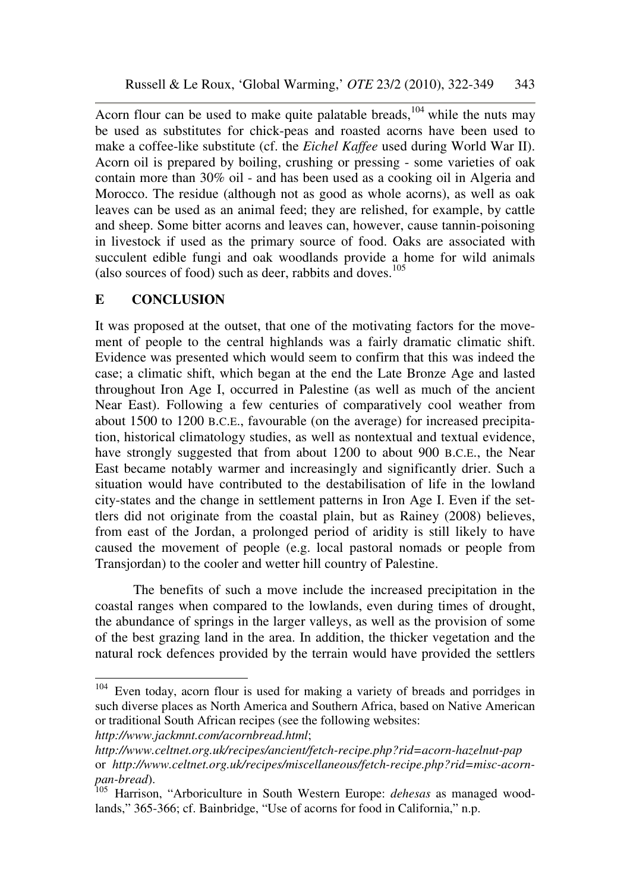Acorn flour can be used to make quite palatable breads, $104$  while the nuts may be used as substitutes for chick-peas and roasted acorns have been used to make a coffee-like substitute (cf. the *Eichel Kaffee* used during World War II). Acorn oil is prepared by boiling, crushing or pressing - some varieties of oak contain more than 30% oil - and has been used as a cooking oil in Algeria and Morocco. The residue (although not as good as whole acorns), as well as oak leaves can be used as an animal feed; they are relished, for example, by cattle and sheep. Some bitter acorns and leaves can, however, cause tannin-poisoning in livestock if used as the primary source of food. Oaks are associated with succulent edible fungi and oak woodlands provide a home for wild animals (also sources of food) such as deer, rabbits and doves. 105

# **E CONCLUSION**

It was proposed at the outset, that one of the motivating factors for the movement of people to the central highlands was a fairly dramatic climatic shift. Evidence was presented which would seem to confirm that this was indeed the case; a climatic shift, which began at the end the Late Bronze Age and lasted throughout Iron Age I, occurred in Palestine (as well as much of the ancient Near East). Following a few centuries of comparatively cool weather from about 1500 to 1200 B.C.E., favourable (on the average) for increased precipitation, historical climatology studies, as well as nontextual and textual evidence, have strongly suggested that from about 1200 to about 900 B.C.E., the Near East became notably warmer and increasingly and significantly drier. Such a situation would have contributed to the destabilisation of life in the lowland city-states and the change in settlement patterns in Iron Age I. Even if the settlers did not originate from the coastal plain, but as Rainey (2008) believes, from east of the Jordan, a prolonged period of aridity is still likely to have caused the movement of people (e.g. local pastoral nomads or people from Transjordan) to the cooler and wetter hill country of Palestine.

The benefits of such a move include the increased precipitation in the coastal ranges when compared to the lowlands, even during times of drought, the abundance of springs in the larger valleys, as well as the provision of some of the best grazing land in the area. In addition, the thicker vegetation and the natural rock defences provided by the terrain would have provided the settlers

*http://www.celtnet.org.uk/recipes/ancient/fetch-recipe.php?rid=acorn-hazelnut-pap* or *http://www.celtnet.org.uk/recipes/miscellaneous/fetch-recipe.php?rid=misc-acornpan-bread*).

<sup>104</sup> Even today, acorn flour is used for making a variety of breads and porridges in such diverse places as North America and Southern Africa, based on Native American or traditional South African recipes (see the following websites: *http://www.jackmnt.com/acornbread.html*;

<sup>105</sup> Harrison, "Arboriculture in South Western Europe: *dehesas* as managed woodlands," 365-366; cf. Bainbridge, "Use of acorns for food in California," n.p.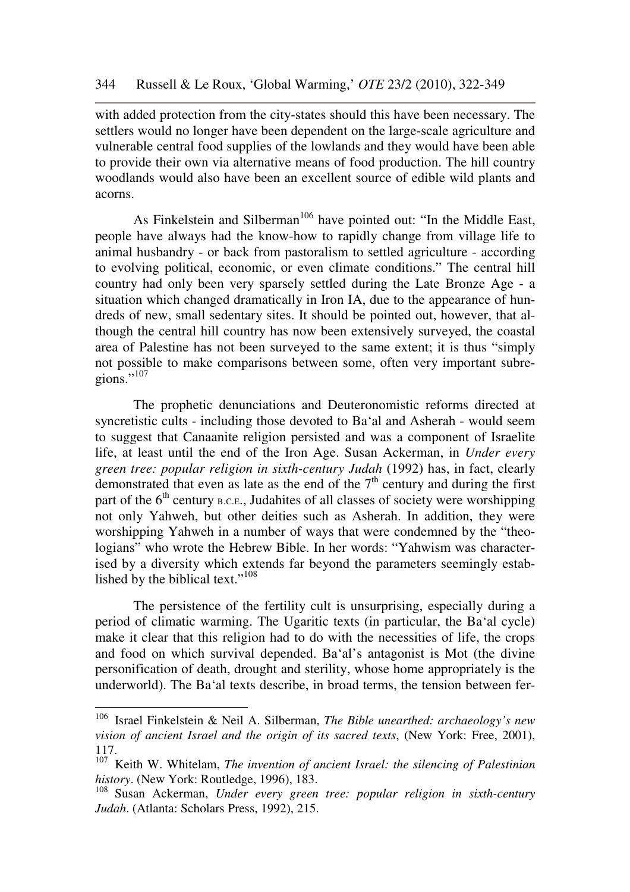with added protection from the city-states should this have been necessary. The settlers would no longer have been dependent on the large-scale agriculture and vulnerable central food supplies of the lowlands and they would have been able to provide their own via alternative means of food production. The hill country woodlands would also have been an excellent source of edible wild plants and acorns.

As Finkelstein and Silberman<sup>106</sup> have pointed out: "In the Middle East, people have always had the know-how to rapidly change from village life to animal husbandry - or back from pastoralism to settled agriculture - according to evolving political, economic, or even climate conditions." The central hill country had only been very sparsely settled during the Late Bronze Age - a situation which changed dramatically in Iron IA, due to the appearance of hundreds of new, small sedentary sites. It should be pointed out, however, that although the central hill country has now been extensively surveyed, the coastal area of Palestine has not been surveyed to the same extent; it is thus "simply not possible to make comparisons between some, often very important subregions." $^{107}$ 

The prophetic denunciations and Deuteronomistic reforms directed at syncretistic cults - including those devoted to Ba'al and Asherah - would seem to suggest that Canaanite religion persisted and was a component of Israelite life, at least until the end of the Iron Age. Susan Ackerman, in *Under every green tree: popular religion in sixth-century Judah* (1992) has, in fact, clearly demonstrated that even as late as the end of the  $7<sup>th</sup>$  century and during the first part of the  $6<sup>th</sup>$  century B.C.E., Judahites of all classes of society were worshipping not only Yahweh, but other deities such as Asherah. In addition, they were worshipping Yahweh in a number of ways that were condemned by the "theologians" who wrote the Hebrew Bible. In her words: "Yahwism was characterised by a diversity which extends far beyond the parameters seemingly established by the biblical text."<sup>108</sup>

The persistence of the fertility cult is unsurprising, especially during a period of climatic warming. The Ugaritic texts (in particular, the Ba'al cycle) make it clear that this religion had to do with the necessities of life, the crops and food on which survival depended. Ba'al's antagonist is Mot (the divine personification of death, drought and sterility, whose home appropriately is the underworld). The Ba'al texts describe, in broad terms, the tension between fer-

<sup>106</sup> <sup>106</sup> Israel Finkelstein & Neil A. Silberman, *The Bible unearthed: archaeology's new vision of ancient Israel and the origin of its sacred texts*, (New York: Free, 2001), 117.

<sup>&</sup>lt;sup>107</sup> Keith W. Whitelam, *The invention of ancient Israel: the silencing of Palestinian history*. (New York: Routledge, 1996), 183.

<sup>108</sup> Susan Ackerman, *Under every green tree: popular religion in sixth-century Judah*. (Atlanta: Scholars Press, 1992), 215.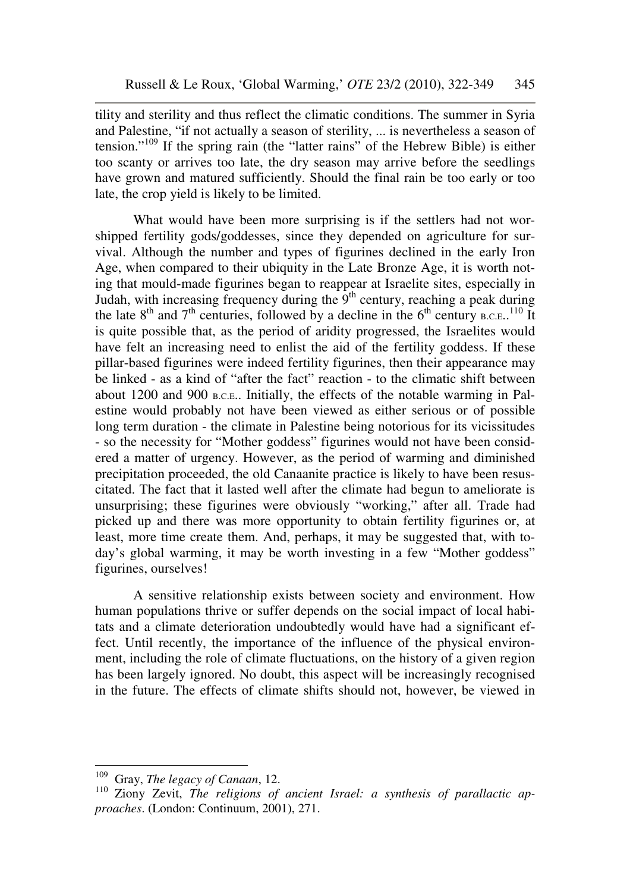tility and sterility and thus reflect the climatic conditions. The summer in Syria and Palestine, "if not actually a season of sterility, ... is nevertheless a season of tension."<sup>109</sup> If the spring rain (the "latter rains" of the Hebrew Bible) is either too scanty or arrives too late, the dry season may arrive before the seedlings have grown and matured sufficiently. Should the final rain be too early or too late, the crop yield is likely to be limited.

What would have been more surprising is if the settlers had not worshipped fertility gods/goddesses, since they depended on agriculture for survival. Although the number and types of figurines declined in the early Iron Age, when compared to their ubiquity in the Late Bronze Age, it is worth noting that mould-made figurines began to reappear at Israelite sites, especially in Judah, with increasing frequency during the 9th century, reaching a peak during the late  $8<sup>th</sup>$  and  $7<sup>th</sup>$  centuries, followed by a decline in the  $6<sup>th</sup>$  century  $B.C.E.,<sup>110</sup>$  It is quite possible that, as the period of aridity progressed, the Israelites would have felt an increasing need to enlist the aid of the fertility goddess. If these pillar-based figurines were indeed fertility figurines, then their appearance may be linked - as a kind of "after the fact" reaction - to the climatic shift between about 1200 and 900 B.C.E.. Initially, the effects of the notable warming in Palestine would probably not have been viewed as either serious or of possible long term duration - the climate in Palestine being notorious for its vicissitudes - so the necessity for "Mother goddess" figurines would not have been considered a matter of urgency. However, as the period of warming and diminished precipitation proceeded, the old Canaanite practice is likely to have been resuscitated. The fact that it lasted well after the climate had begun to ameliorate is unsurprising; these figurines were obviously "working," after all. Trade had picked up and there was more opportunity to obtain fertility figurines or, at least, more time create them. And, perhaps, it may be suggested that, with today's global warming, it may be worth investing in a few "Mother goddess" figurines, ourselves!

A sensitive relationship exists between society and environment. How human populations thrive or suffer depends on the social impact of local habitats and a climate deterioration undoubtedly would have had a significant effect. Until recently, the importance of the influence of the physical environment, including the role of climate fluctuations, on the history of a given region has been largely ignored. No doubt, this aspect will be increasingly recognised in the future. The effects of climate shifts should not, however, be viewed in

 $\overline{a}$ 

<sup>109</sup> Gray, *The legacy of Canaan*, 12.

<sup>110</sup> Ziony Zevit, *The religions of ancient Israel: a synthesis of parallactic approaches*. (London: Continuum, 2001), 271.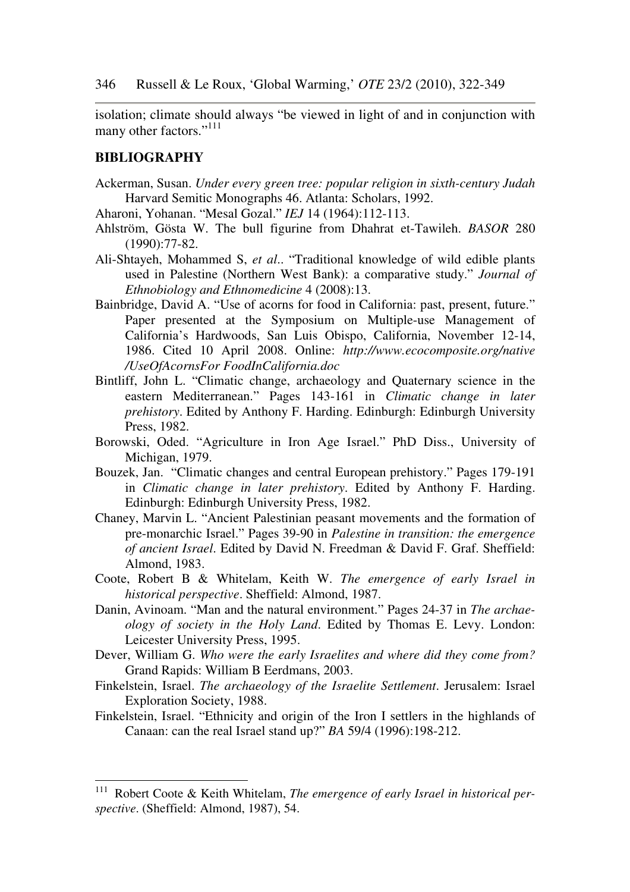isolation; climate should always "be viewed in light of and in conjunction with many other factors."<sup>111</sup>

#### **BIBLIOGRAPHY**

- Ackerman, Susan. *Under every green tree: popular religion in sixth-century Judah* Harvard Semitic Monographs 46. Atlanta: Scholars, 1992.
- Aharoni, Yohanan. "Mesal Gozal." *IEJ* 14 (1964):112-113.
- Ahlström, Gösta W. The bull figurine from Dhahrat et-Tawileh. *BASOR* 280 (1990):77-82.
- Ali-Shtayeh, Mohammed S, *et al*.. "Traditional knowledge of wild edible plants used in Palestine (Northern West Bank): a comparative study." *Journal of Ethnobiology and Ethnomedicine* 4 (2008):13.
- Bainbridge, David A. "Use of acorns for food in California: past, present, future." Paper presented at the Symposium on Multiple-use Management of California's Hardwoods, San Luis Obispo, California, November 12-14, 1986. Cited 10 April 2008. Online: *http://www.ecocomposite.org/native /UseOfAcornsFor FoodInCalifornia.doc*
- Bintliff, John L. "Climatic change, archaeology and Quaternary science in the eastern Mediterranean." Pages 143-161 in *Climatic change in later prehistory*. Edited by Anthony F. Harding. Edinburgh: Edinburgh University Press, 1982.
- Borowski, Oded. "Agriculture in Iron Age Israel." PhD Diss., University of Michigan, 1979.
- Bouzek, Jan. "Climatic changes and central European prehistory." Pages 179-191 in *Climatic change in later prehistory*. Edited by Anthony F. Harding. Edinburgh: Edinburgh University Press, 1982.
- Chaney, Marvin L. "Ancient Palestinian peasant movements and the formation of pre-monarchic Israel." Pages 39-90 in *Palestine in transition: the emergence of ancient Israel*. Edited by David N. Freedman & David F. Graf. Sheffield: Almond, 1983.
- Coote, Robert B & Whitelam, Keith W. *The emergence of early Israel in historical perspective*. Sheffield: Almond, 1987.
- Danin, Avinoam. "Man and the natural environment." Pages 24-37 in *The archaeology of society in the Holy Land*. Edited by Thomas E. Levy. London: Leicester University Press, 1995.
- Dever, William G. *Who were the early Israelites and where did they come from?* Grand Rapids: William B Eerdmans, 2003.
- Finkelstein, Israel. *The archaeology of the Israelite Settlement*. Jerusalem: Israel Exploration Society, 1988.
- Finkelstein, Israel. "Ethnicity and origin of the Iron I settlers in the highlands of Canaan: can the real Israel stand up?" *BA* 59/4 (1996):198-212.

<sup>111</sup> Robert Coote & Keith Whitelam, *The emergence of early Israel in historical perspective*. (Sheffield: Almond, 1987), 54.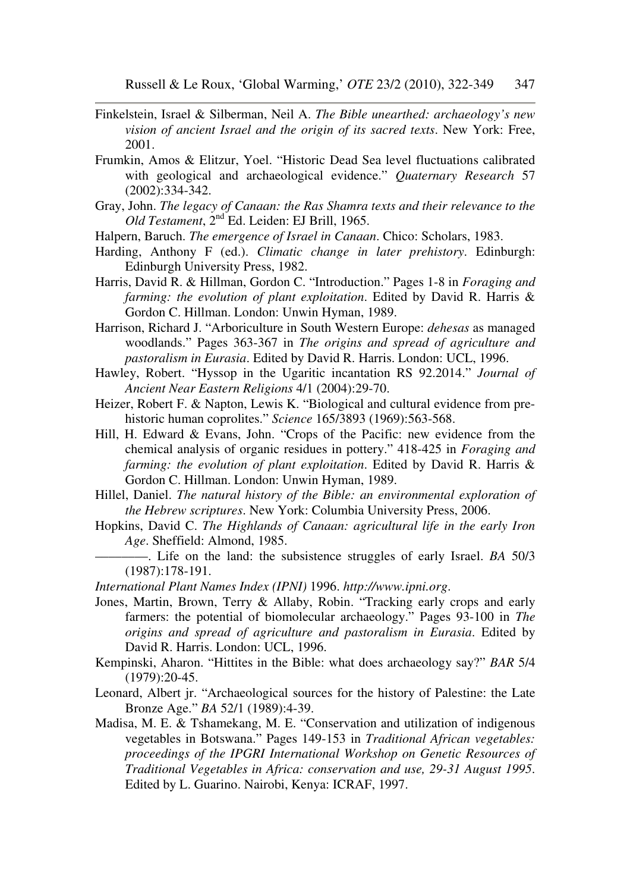- Finkelstein, Israel & Silberman, Neil A. *The Bible unearthed: archaeology's new vision of ancient Israel and the origin of its sacred texts*. New York: Free, 2001.
- Frumkin, Amos & Elitzur, Yoel. "Historic Dead Sea level fluctuations calibrated with geological and archaeological evidence." *Quaternary Research* 57 (2002):334-342.
- Gray, John. *The legacy of Canaan: the Ras Shamra texts and their relevance to the Old Testament*, 2nd Ed. Leiden: EJ Brill, 1965.
- Halpern, Baruch. *The emergence of Israel in Canaan*. Chico: Scholars, 1983.
- Harding, Anthony F (ed.). *Climatic change in later prehistory*. Edinburgh: Edinburgh University Press, 1982.
- Harris, David R. & Hillman, Gordon C. "Introduction." Pages 1-8 in *Foraging and farming: the evolution of plant exploitation*. Edited by David R. Harris & Gordon C. Hillman. London: Unwin Hyman, 1989.

Harrison, Richard J. "Arboriculture in South Western Europe: *dehesas* as managed woodlands." Pages 363-367 in *The origins and spread of agriculture and pastoralism in Eurasia*. Edited by David R. Harris. London: UCL, 1996.

- Hawley, Robert. "Hyssop in the Ugaritic incantation RS 92.2014." *Journal of Ancient Near Eastern Religions* 4/1 (2004):29-70.
- Heizer, Robert F. & Napton, Lewis K. "Biological and cultural evidence from prehistoric human coprolites." *Science* 165/3893 (1969):563-568.
- Hill, H. Edward & Evans, John. "Crops of the Pacific: new evidence from the chemical analysis of organic residues in pottery." 418-425 in *Foraging and farming: the evolution of plant exploitation*. Edited by David R. Harris & Gordon C. Hillman. London: Unwin Hyman, 1989.
- Hillel, Daniel. *The natural history of the Bible: an environmental exploration of the Hebrew scriptures*. New York: Columbia University Press, 2006.
- Hopkins, David C. *The Highlands of Canaan: agricultural life in the early Iron Age*. Sheffield: Almond, 1985.
	- ––––––––. Life on the land: the subsistence struggles of early Israel. *BA* 50/3 (1987):178-191.

*International Plant Names Index (IPNI)* 1996. *http://www.ipni.org*.

- Jones, Martin, Brown, Terry & Allaby, Robin. "Tracking early crops and early farmers: the potential of biomolecular archaeology." Pages 93-100 in *The origins and spread of agriculture and pastoralism in Eurasia*. Edited by David R. Harris. London: UCL, 1996.
- Kempinski, Aharon. "Hittites in the Bible: what does archaeology say?" *BAR* 5/4 (1979):20-45.
- Leonard, Albert jr. "Archaeological sources for the history of Palestine: the Late Bronze Age." *BA* 52/1 (1989):4-39.
- Madisa, M. E. & Tshamekang, M. E. "Conservation and utilization of indigenous vegetables in Botswana." Pages 149-153 in *Traditional African vegetables: proceedings of the IPGRI International Workshop on Genetic Resources of Traditional Vegetables in Africa: conservation and use, 29-31 August 1995*. Edited by L. Guarino. Nairobi, Kenya: ICRAF, 1997.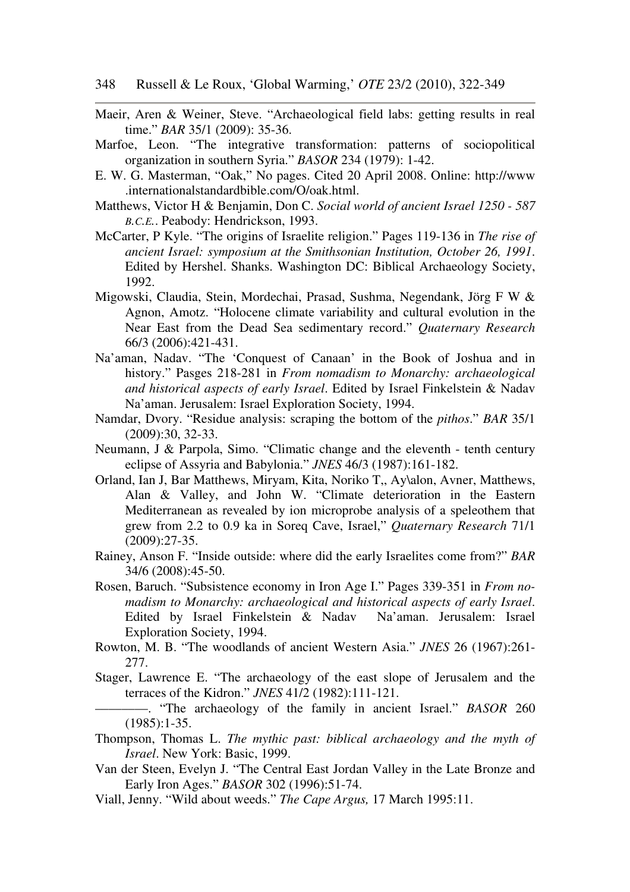- Maeir, Aren & Weiner, Steve. "Archaeological field labs: getting results in real time." *BAR* 35/1 (2009): 35-36.
- Marfoe, Leon. "The integrative transformation: patterns of sociopolitical organization in southern Syria." *BASOR* 234 (1979): 1-42.
- E. W. G. Masterman, "Oak," No pages. Cited 20 April 2008. Online: http://www .internationalstandardbible.com/O/oak.html.
- Matthews, Victor H & Benjamin, Don C. *Social world of ancient Israel 1250 587 B.C.E.*. Peabody: Hendrickson, 1993.
- McCarter, P Kyle. "The origins of Israelite religion." Pages 119-136 in *The rise of ancient Israel: symposium at the Smithsonian Institution, October 26, 1991*. Edited by Hershel. Shanks. Washington DC: Biblical Archaeology Society, 1992.
- Migowski, Claudia, Stein, Mordechai, Prasad, Sushma, Negendank, Jörg F W & Agnon, Amotz. "Holocene climate variability and cultural evolution in the Near East from the Dead Sea sedimentary record." *Quaternary Research* 66/3 (2006):421-431.
- Na'aman, Nadav. "The 'Conquest of Canaan' in the Book of Joshua and in history." Pasges 218-281 in *From nomadism to Monarchy: archaeological and historical aspects of early Israel*. Edited by Israel Finkelstein & Nadav Na'aman. Jerusalem: Israel Exploration Society, 1994.
- Namdar, Dvory. "Residue analysis: scraping the bottom of the *pithos*." *BAR* 35/1 (2009):30, 32-33.
- Neumann, J & Parpola, Simo. "Climatic change and the eleventh tenth century eclipse of Assyria and Babylonia." *JNES* 46/3 (1987):161-182.
- Orland, Ian J, Bar Matthews, Miryam, Kita, Noriko T,, Ay\alon, Avner, Matthews, Alan & Valley, and John W. "Climate deterioration in the Eastern Mediterranean as revealed by ion microprobe analysis of a speleothem that grew from 2.2 to 0.9 ka in Soreq Cave, Israel," *Quaternary Research* 71/1 (2009):27-35.
- Rainey, Anson F. "Inside outside: where did the early Israelites come from?" *BAR* 34/6 (2008):45-50.
- Rosen, Baruch. "Subsistence economy in Iron Age I." Pages 339-351 in *From nomadism to Monarchy: archaeological and historical aspects of early Israel*. Edited by Israel Finkelstein & Nadav Na'aman. Jerusalem: Israel Exploration Society, 1994.
- Rowton, M. B. "The woodlands of ancient Western Asia." *JNES* 26 (1967):261- 277.
- Stager, Lawrence E. "The archaeology of the east slope of Jerusalem and the terraces of the Kidron." *JNES* 41/2 (1982):111-121.
- ––––––––. "The archaeology of the family in ancient Israel." *BASOR* 260 (1985):1-35.
- Thompson, Thomas L. *The mythic past: biblical archaeology and the myth of Israel*. New York: Basic, 1999.
- Van der Steen, Evelyn J. "The Central East Jordan Valley in the Late Bronze and Early Iron Ages." *BASOR* 302 (1996):51-74.
- Viall, Jenny. "Wild about weeds." *The Cape Argus,* 17 March 1995:11.